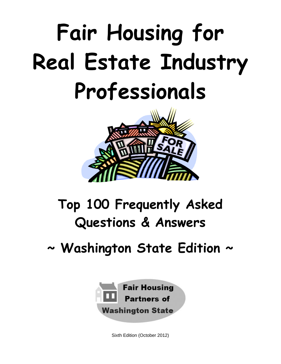# **Fair Housing for Real Estate Industry Professionals**



# **Top 100 Frequently Asked Questions & Answers**

# **~ Washington State Edition ~**



Sixth Edition (October 2012)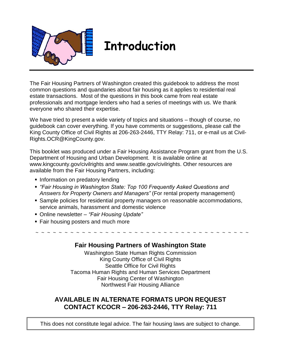

# **Introduction**

The Fair Housing Partners of Washington created this guidebook to address the most common questions and quandaries about fair housing as it applies to residential real estate transactions. Most of the questions in this book came from real estate professionals and mortgage lenders who had a series of meetings with us. We thank everyone who shared their expertise.

We have tried to present a wide variety of topics and situations – though of course, no guidebook can cover everything. If you have comments or suggestions, please call the King County Office of Civil Rights at 206-263-2446, TTY Relay: 711, or e-mail us at Civil-Rights.OCR@KingCounty.gov.

This booklet was produced under a Fair Housing Assistance Program grant from the U.S. Department of Housing and Urban Development. It is available online at www.kingcounty.gov/civilrights and www.seattle.gov/civilrights. Other resources are available from the Fair Housing Partners, including:

- Information on predatory lending
- *"Fair Housing in Washington State: Top 100 Frequently Asked Questions and Answers for Property Owners and Managers"* (For rental property management)
- Sample policies for residential property managers on reasonable accommodations, service animals, harassment and domestic violence
- Online newsletter *"Fair Housing Update"*
- Fair housing posters and much more

~ ~ ~ ~ ~ ~ ~ ~ ~ ~ ~ ~ ~ ~ ~ ~ ~ ~ ~ ~ ~ ~ ~ ~ ~ ~ ~ ~ ~ ~ ~ ~ ~ ~ ~ ~ ~

### **Fair Housing Partners of Washington State**

Washington State Human Rights Commission King County Office of Civil Rights Seattle Office for Civil Rights Tacoma Human Rights and Human Services Department Fair Housing Center of Washington Northwest Fair Housing Alliance

### **AVAILABLE IN ALTERNATE FORMATS UPON REQUEST CONTACT KCOCR – 206-263-2446, TTY Relay: 711**

This does not constitute legal advice. The fair housing laws are subject to change.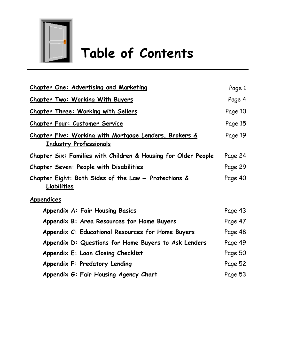

# **Table of Contents**

| <b>Chapter One: Advertising and Marketing</b>                                           | Page 1  |
|-----------------------------------------------------------------------------------------|---------|
| <u>Chapter Two: Working With Buyers</u>                                                 | Page 4  |
| <u> Chapter Three: Working with Sellers</u>                                             | Page 10 |
| Chapter Four: Customer Service                                                          | Page 15 |
| Chapter Five: Working with Mortgage Lenders, Brokers &<br><b>Industry Professionals</b> | Page 19 |
| Chapter Six: Families with Children & Housing for Older People                          | Page 24 |
| <b>Chapter Seven: People with Disabilities</b>                                          | Page 29 |
| <u>Chapter Eight: Both Sides of the Law – Protections &amp;</u>                         | Page 40 |
| Liabilities                                                                             |         |
| <u>Appendices</u>                                                                       |         |
| Appendix A: Fair Housing Basics                                                         | Page 43 |
| Appendix B: Area Resources for Home Buyers                                              | Page 47 |
| Appendix C: Educational Resources for Home Buyers                                       | Page 48 |
| Appendix D: Questions for Home Buyers to Ask Lenders                                    | Page 49 |
| Appendix E: Loan Closing Checklist                                                      | Page 50 |
| Appendix F: Predatory Lending                                                           | Page 52 |
| Appendix G: Fair Housing Agency Chart                                                   | Page 53 |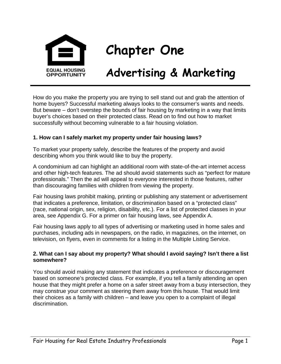

# **Chapter One**

# **Advertising & Marketing**

How do you make the property you are trying to sell stand out and grab the attention of home buyers? Successful marketing always looks to the consumer's wants and needs. But beware – don't overstep the bounds of fair housing by marketing in a way that limits buyer's choices based on their protected class. Read on to find out how to market successfully without becoming vulnerable to a fair housing violation.

### **1. How can I safely market my property under fair housing laws?**

To market your property safely, describe the features of the property and avoid describing whom you think would like to buy the property.

A condominium ad can highlight an additional room with state-of-the-art internet access and other high-tech features. The ad should avoid statements such as "perfect for mature professionals." Then the ad will appeal to everyone interested in those features, rather than discouraging families with children from viewing the property.

Fair housing laws prohibit making, printing or publishing any statement or advertisement that indicates a preference, limitation, or discrimination based on a "protected class" (race, national origin, sex, religion, disability, etc.). For a list of protected classes in your area, see Appendix G. For a primer on fair housing laws, see Appendix A.

Fair housing laws apply to all types of advertising or marketing used in home sales and purchases, including ads in newspapers, on the radio, in magazines, on the internet, on television, on flyers, even in comments for a listing in the Multiple Listing Service.

### **2. What can I say about my property? What should I avoid saying? Isn't there a list somewhere?**

You should avoid making any statement that indicates a preference or discouragement based on someone's protected class. For example, if you tell a family attending an open house that they might prefer a home on a safer street away from a busy intersection, they may construe your comment as steering them away from this house. That would limit their choices as a family with children – and leave you open to a complaint of illegal discrimination.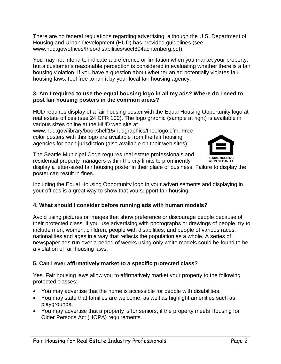There are no federal regulations regarding advertising, although the U.S. Department of Housing and Urban Development (HUD) has provided guidelines (see www.hud.gov/offices/fheo/disabilities/sect804achtenberg.pdf).

You may not intend to indicate a preference or limitation when you market your property, but a customer's reasonable perception is considered in evaluating whether there is a fair housing violation. If you have a question about whether an ad potentially violates fair housing laws, feel free to run it by your local fair housing agency.

### **3. Am I required to use the equal housing logo in all my ads? Where do I need to post fair housing posters in the common areas?**

HUD requires display of a fair housing poster with the Equal Housing Opportunity logo at real estate offices (see 24 CFR 100). The logo graphic (sample at right) is available in various sizes online at the HUD web site at

www.hud.gov/library/bookshelf15/hudgraphics/fheologo.cfm. Free color posters with this logo are available from the fair housing agencies for each jurisdiction (also available on their web sites).

The Seattle Municipal Code requires real estate professionals and residential property managers within the city limits to prominently

display a letter-sized fair housing poster in their place of business. Failure to display the poster can result in fines.

Including the Equal Housing Opportunity logo in your advertisements and displaying in your offices is a great way to show that you support fair housing.

### **4. What should I consider before running ads with human models?**

Avoid using pictures or images that show preference or discourage people because of their protected class. If you use advertising with photographs or drawings of people, try to include men, women, children, people with disabilities, and people of various races, nationalities and ages in a way that reflects the population as a whole. A series of newspaper ads run over a period of weeks using only white models could be found to be a violation of fair housing laws.

### **5. Can I ever affirmatively market to a specific protected class?**

Yes. Fair housing laws allow you to affirmatively market your property to the following protected classes:

- You may advertise that the home is accessible for people with disabilities.
- You may state that families are welcome, as well as highlight amenities such as playgrounds**.**
- You may advertise that a property is for seniors, if the property meets Housing for Older Persons Act (HOPA) requirements.

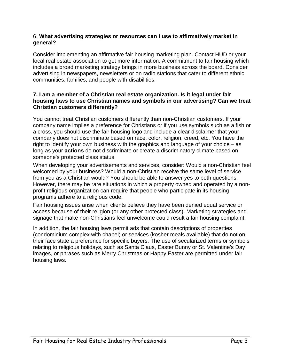### 6. **What advertising strategies or resources can I use to affirmatively market in general?**

Consider implementing an affirmative fair housing marketing plan. Contact HUD or your local real estate association to get more information. A commitment to fair housing which includes a broad marketing strategy brings in more business across the board. Consider advertising in newspapers, newsletters or on radio stations that cater to different ethnic communities, families, and people with disabilities.

### **7. I am a member of a Christian real estate organization. Is it legal under fair housing laws to use Christian names and symbols in our advertising? Can we treat Christian customers differently?**

You cannot treat Christian customers differently than non-Christian customers. If your company name implies a preference for Christians or if you use symbols such as a fish or a cross, you should use the fair housing logo and include a clear disclaimer that your company does not discriminate based on race, color, religion, creed, etc. You have the right to identify your own business with the graphics and language of your choice – as long as your **actions** do not discriminate or create a discriminatory climate based on someone's protected class status.

When developing your advertisements and services, consider: Would a non-Christian feel welcomed by your business? Would a non-Christian receive the same level of service from you as a Christian would? You should be able to answer yes to both questions. However, there may be rare situations in which a property owned and operated by a nonprofit religious organization can require that people who participate in its housing programs adhere to a religious code.

Fair housing issues arise when clients believe they have been denied equal service or access because of their religion (or any other protected class). Marketing strategies and signage that make non-Christians feel unwelcome could result a fair housing complaint.

In addition, the fair housing laws permit ads that contain descriptions of properties (condominium complex with chapel) or services (kosher meals available) that do not on their face state a preference for specific buyers. The use of secularized terms or symbols relating to religious holidays, such as Santa Claus, Easter Bunny or St. Valentine's Day images, or phrases such as Merry Christmas or Happy Easter are permitted under fair housing laws.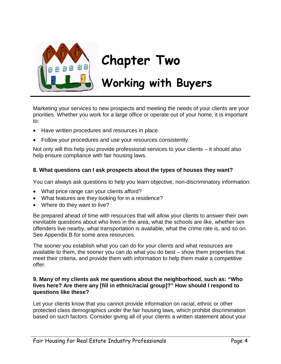

# **Chapter Two**

# **Working with Buyers**

Marketing your services to new prospects and meeting the needs of your clients are your priorities. Whether you work for a large office or operate out of your home, it is important to:

- Have written procedures and resources in place.
- Follow your procedures and use your resources consistently.

Not only will this help you provide professional services to your clients – it should also help ensure compliance with fair housing laws.

### **8. What questions can I ask prospects about the types of houses they want?**

You can always ask questions to help you learn objective, non-discriminatory information:

- What price range can your clients afford?
- What features are they looking for in a residence?
- Where do they want to live?

Be prepared ahead of time with resources that will allow your clients to answer their own inevitable questions about who lives in the area, what the schools are like, whether sex offenders live nearby, what transportation is available, what the crime rate is, and so on. See Appendix B for some area resources.

The sooner you establish what you can do for your clients and what resources are available to them, the sooner you can do what you do best – show them properties that meet their criteria, and provide them with information to help them make a competitive offer.

### **9. Many of my clients ask me questions about the neighborhood, such as: "Who lives here? Are there any [fill in ethnic/racial group]?" How should I respond to questions like these?**

Let your clients know that you cannot provide information on racial, ethnic or other protected class demographics under the fair housing laws, which prohibit discrimination based on such factors. Consider giving all of your clients a written statement about your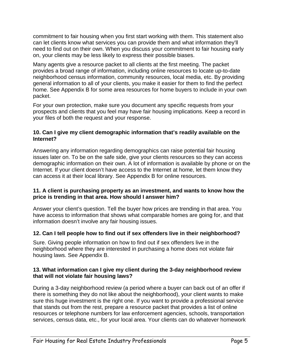commitment to fair housing when you first start working with them. This statement also can let clients know what services you can provide them and what information they'll need to find out on their own. When you discuss your commitment to fair housing early on, your clients may be less likely to express their possible biases.

Many agents give a resource packet to all clients at the first meeting. The packet provides a broad range of information, including online resources to locate up-to-date neighborhood census information, community resources, local media, etc. By providing general information to all of your clients, you make it easier for them to find the perfect home. See Appendix B for some area resources for home buyers to include in your own packet.

For your own protection, make sure you document any specific requests from your prospects and clients that you feel may have fair housing implications. Keep a record in your files of both the request and your response.

### **10. Can I give my client demographic information that's readily available on the Internet?**

Answering any information regarding demographics can raise potential fair housing issues later on. To be on the safe side, give your clients resources so they can access demographic information on their own. A lot of information is available by phone or on the Internet. If your client doesn't have access to the Internet at home, let them know they can access it at their local library. See Appendix B for online resources.

### **11. A client is purchasing property as an investment, and wants to know how the price is trending in that area. How should I answer him?**

Answer your client's question. Tell the buyer how prices are trending in that area. You have access to information that shows what comparable homes are going for, and that information doesn't involve any fair housing issues.

### **12. Can I tell people how to find out if sex offenders live in their neighborhood?**

Sure. Giving people information on how to find out if sex offenders live in the neighborhood where they are interested in purchasing a home does not violate fair housing laws. See Appendix B.

### **13. What information can I give my client during the 3-day neighborhood review that will not violate fair housing laws?**

During a 3-day neighborhood review (a period where a buyer can back out of an offer if there is something they do not like about the neighborhood), your client wants to make sure this huge investment is the right one. If you want to provide a professional service that stands out from the rest, prepare a resource packet that provides a list of online resources or telephone numbers for law enforcement agencies, schools, transportation services, census data, etc., for your local area. Your clients can do whatever homework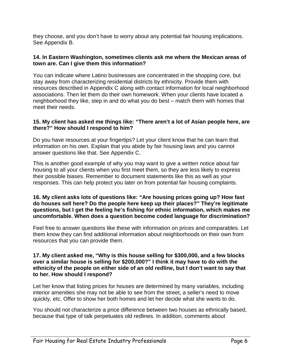they choose, and you don't have to worry about any potential fair housing implications. See Appendix B.

### **14. In Eastern Washington, sometimes clients ask me where the Mexican areas of town are. Can I give them this information?**

You can indicate where Latino businesses are concentrated in the shopping core, but stay away from characterizing residential districts by ethnicity. Provide them with resources described in Appendix C along with contact information for local neighborhood associations. Then let them do their own homework. When your clients have located a neighborhood they like, step in and do what you do best – match them with homes that meet their needs.

### **15. My client has asked me things like: "There aren't a lot of Asian people here, are there?" How should I respond to him?**

Do you have resources at your fingertips? Let your client know that he can learn that information on his own. Explain that you abide by fair housing laws and you cannot answer questions like that. See Appendix C.

This is another good example of why you may want to give a written notice about fair housing to all your clients when you first meet them, so they are less likely to express their possible biases. Remember to document statements like this as well as your responses. This can help protect you later on from potential fair housing complaints.

### **16. My client asks lots of questions like: "Are housing prices going up? How fast do houses sell here? Do the people here keep up their places?" They're legitimate questions, but I get the feeling he's fishing for ethnic information, which makes me uncomfortable. When does a question become coded language for discrimination?**

Feel free to answer questions like these with information on prices and comparables. Let them know they can find additional information about neighborhoods on their own from resources that you can provide them.

### **17. My client asked me, "Why is this house selling for \$300,000, and a few blocks over a similar house is selling for \$200,000?" I think it may have to do with the ethnicity of the people on either side of an old redline, but I don't want to say that to her. How should I respond?**

Let her know that listing prices for houses are determined by many variables, including interior amenities she may not be able to see from the street, a seller's need to move quickly, etc. Offer to show her both homes and let her decide what she wants to do.

You should not characterize a price difference between two houses as ethnically based, because that type of talk perpetuates old redlines. In addition, comments about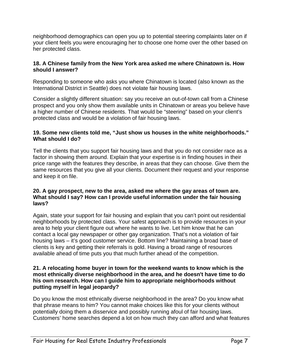neighborhood demographics can open you up to potential steering complaints later on if your client feels you were encouraging her to choose one home over the other based on her protected class.

### **18. A Chinese family from the New York area asked me where Chinatown is. How should I answer?**

Responding to someone who asks you where Chinatown is located (also known as the International District in Seattle) does not violate fair housing laws.

Consider a slightly different situation: say you receive an out-of-town call from a Chinese prospect and you only show them available units in Chinatown or areas you believe have a higher number of Chinese residents. That would be "steering" based on your client's protected class and would be a violation of fair housing laws.

### **19. Some new clients told me, "Just show us houses in the white neighborhoods." What should I do?**

Tell the clients that you support fair housing laws and that you do not consider race as a factor in showing them around. Explain that your expertise is in finding houses in their price range with the features they describe, in areas that they can choose. Give them the same resources that you give all your clients. Document their request and your response and keep it on file.

### **20. A gay prospect, new to the area, asked me where the gay areas of town are. What should I say? How can I provide useful information under the fair housing laws?**

Again, state your support for fair housing and explain that you can't point out residential neighborhoods by protected class. Your safest approach is to provide resources in your area to help your client figure out where he wants to live. Let him know that he can contact a local gay newspaper or other gay organization. That's not a violation of fair housing laws – it's good customer service. Bottom line? Maintaining a broad base of clients is key and getting their referrals is gold. Having a broad range of resources available ahead of time puts you that much further ahead of the competition.

### **21. A relocating home buyer in town for the weekend wants to know which is the most ethnically diverse neighborhood in the area, and he doesn't have time to do his own research. How can I guide him to appropriate neighborhoods without putting myself in legal jeopardy?**

Do you know the most ethnically diverse neighborhood in the area? Do you know what that phrase means to him? You cannot make choices like this for your clients without potentially doing them a disservice and possibly running afoul of fair housing laws. Customers' home searches depend a lot on how much they can afford and what features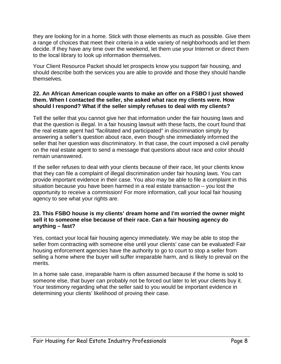they are looking for in a home. Stick with those elements as much as possible. Give them a range of choices that meet their criteria in a wide variety of neighborhoods and let them decide. If they have any time over the weekend, let them use your Internet or direct them to the local library to look up information themselves.

Your Client Resource Packet should let prospects know you support fair housing, and should describe both the services you are able to provide and those they should handle themselves.

### **22. An African American couple wants to make an offer on a FSBO I just showed them. When I contacted the seller, she asked what race my clients were. How should I respond? What if the seller simply refuses to deal with my clients?**

Tell the seller that you cannot give her that information under the fair housing laws and that the question is illegal. In a fair housing lawsuit with these facts, the court found that the real estate agent had "facilitated and participated" in discrimination simply by answering a seller's question about race, even though she immediately informed the seller that her question was discriminatory. In that case, the court imposed a civil penalty on the real estate agent to send a message that questions about race and color should remain unanswered.

If the seller refuses to deal with your clients because of their race, let your clients know that they can file a complaint of illegal discrimination under fair housing laws. You can provide important evidence in their case. You also may be able to file a complaint in this situation because you have been harmed in a real estate transaction – you lost the opportunity to receive a commission! For more information, call your local fair housing agency to see what your rights are.

### **23. This FSBO house is my clients' dream home and I'm worried the owner might sell it to someone else because of their race. Can a fair housing agency do anything – fast?**

Yes, contact your local fair housing agency immediately. We may be able to stop the seller from contracting with someone else until your clients' case can be evaluated! Fair housing enforcement agencies have the authority to go to court to stop a seller from selling a home where the buyer will suffer irreparable harm, and is likely to prevail on the merits.

In a home sale case, irreparable harm is often assumed because if the home is sold to someone else, that buyer can probably not be forced out later to let your clients buy it. Your testimony regarding what the seller said to you would be important evidence in determining your clients' likelihood of proving their case.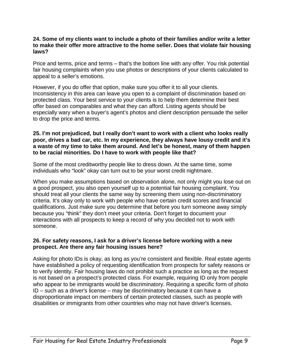### **24. Some of my clients want to include a photo of their families and/or write a letter to make their offer more attractive to the home seller. Does that violate fair housing laws?**

Price and terms, price and terms – that's the bottom line with any offer. You risk potential fair housing complaints when you use photos or descriptions of your clients calculated to appeal to a seller's emotions.

However, if you do offer that option, make sure you offer it to all your clients. Inconsistency in this area can leave you open to a complaint of discrimination based on protected class. Your best service to your clients is to help them determine their best offer based on comparables and what they can afford. Listing agents should be especially wary when a buyer's agent's photos and client description persuade the seller to drop the price and terms.

### **25. I'm not prejudiced, but I really don't want to work with a client who looks really poor, drives a bad car, etc. In my experience, they always have lousy credit and it's a waste of my time to take them around. And let's be honest, many of them happen to be racial minorities. Do I have to work with people like that?**

Some of the most creditworthy people like to dress down. At the same time, some individuals who "look" okay can turn out to be your worst credit nightmare.

When you make assumptions based on observation alone, not only might you lose out on a good prospect, you also open yourself up to a potential fair housing complaint. You should treat all your clients the same way by screening them using non-discriminatory criteria. It's okay only to work with people who have certain credit scores and financial qualifications. Just make sure you determine that before you turn someone away simply because you "think" they don't meet your criteria. Don't forget to document your interactions with all prospects to keep a record of why you decided not to work with someone.

### **26. For safety reasons, I ask for a driver's license before working with a new prospect. Are there any fair housing issues here?**

Asking for photo IDs is okay, as long as you're consistent and flexible. Real estate agents have established a policy of requesting identification from prospects for safety reasons or to verify identity. Fair housing laws do not prohibit such a practice as long as the request is not based on a prospect's protected class. For example, requiring ID only from people who appear to be immigrants would be discriminatory. Requiring a specific form of photo ID – such as a driver's license – may be discriminatory because it can have a disproportionate impact on members of certain protected classes, such as people with disabilities or immigrants from other countries who may not have driver's licenses.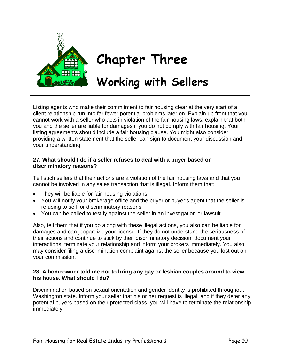

# **Chapter Three**

# **Working with Sellers**

Listing agents who make their commitment to fair housing clear at the very start of a client relationship run into far fewer potential problems later on. Explain up front that you cannot work with a seller who acts in violation of the fair housing laws; explain that both you and the seller are liable for damages if you do not comply with fair housing. Your listing agreements should include a fair housing clause. You might also consider providing a written statement that the seller can sign to document your discussion and your understanding.

### **27. What should I do if a seller refuses to deal with a buyer based on discriminatory reasons?**

Tell such sellers that their actions are a violation of the fair housing laws and that you cannot be involved in any sales transaction that is illegal. Inform them that:

- They will be liable for fair housing violations.
- You will notify your brokerage office and the buyer or buyer's agent that the seller is refusing to sell for discriminatory reasons.
- You can be called to testify against the seller in an investigation or lawsuit.

Also, tell them that if you go along with these illegal actions, you also can be liable for damages and can jeopardize your license. If they do not understand the seriousness of their actions and continue to stick by their discriminatory decision, document your interactions, terminate your relationship and inform your brokers immediately. You also may consider filing a discrimination complaint against the seller because you lost out on your commission.

### **28. A homeowner told me not to bring any gay or lesbian couples around to view his house. What should I do?**

Discrimination based on sexual orientation and gender identity is prohibited throughout Washington state. Inform your seller that his or her request is illegal, and if they deter any potential buyers based on their protected class, you will have to terminate the relationship immediately.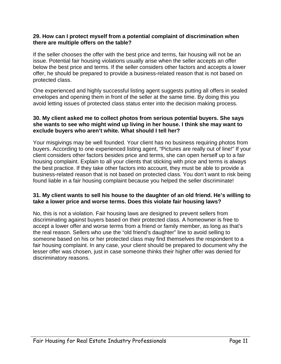### **29. How can I protect myself from a potential complaint of discrimination when there are multiple offers on the table?**

If the seller chooses the offer with the best price and terms, fair housing will not be an issue. Potential fair housing violations usually arise when the seller accepts an offer below the best price and terms. If the seller considers other factors and accepts a lower offer, he should be prepared to provide a business-related reason that is not based on protected class.

One experienced and highly successful listing agent suggests putting all offers in sealed envelopes and opening them in front of the seller at the same time. By doing this you avoid letting issues of protected class status enter into the decision making process.

### **30. My client asked me to collect photos from serious potential buyers. She says she wants to see who might wind up living in her house. I think she may want to exclude buyers who aren't white. What should I tell her?**

Your misgivings may be well founded. Your client has no business requiring photos from buyers. According to one experienced listing agent, "Pictures are really out of line!" If your client considers other factors besides price and terms, she can open herself up to a fair housing complaint. Explain to all your clients that sticking with price and terms is always the best practice. If they take other factors into account, they must be able to provide a business-related reason that is not based on protected class. You don't want to risk being found liable in a fair housing complaint because you helped the seller discriminate!

### **31. My client wants to sell his house to the daughter of an old friend. He's willing to take a lower price and worse terms. Does this violate fair housing laws?**

No, this is not a violation. Fair housing laws are designed to prevent sellers from discriminating against buyers based on their protected class. A homeowner is free to accept a lower offer and worse terms from a friend or family member, as long as that's the real reason. Sellers who use the "old friend's daughter" line to avoid selling to someone based on his or her protected class may find themselves the respondent to a fair housing complaint. In any case, your client should be prepared to document why the lesser offer was chosen, just in case someone thinks their higher offer was denied for discriminatory reasons.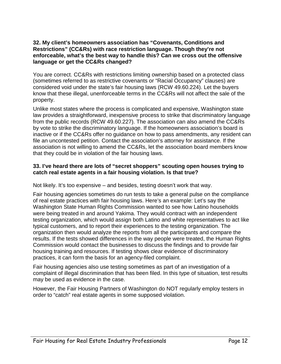### **32. My client's homeowners association has "Covenants, Conditions and Restrictions" (CC&Rs) with race restriction language. Though they're not enforceable, what's the best way to handle this? Can we cross out the offensive language or get the CC&Rs changed?**

You are correct. CC&Rs with restrictions limiting ownership based on a protected class (sometimes referred to as restrictive covenants or "Racial Occupancy" clauses) are considered void under the state's fair housing laws (RCW 49.60.224). Let the buyers know that these illegal, unenforceable terms in the CC&Rs will not affect the sale of the property.

Unlike most states where the process is complicated and expensive, Washington state law provides a straightforward, inexpensive process to strike that discriminatory language from the public records (RCW 49.60.227). The association can also amend the CC&Rs by vote to strike the discriminatory language. If the homeowners association's board is inactive or if the CC&Rs offer no guidance on how to pass amendments, any resident can file an uncontested petition. Contact the association's attorney for assistance. If the association is not willing to amend the CC&Rs, let the association board members know that they could be in violation of the fair housing laws.

### **33. I've heard there are lots of "secret shoppers" scouting open houses trying to catch real estate agents in a fair housing violation. Is that true?**

Not likely. It's too expensive – and besides, testing doesn't work that way.

Fair housing agencies sometimes do run tests to take a general pulse on the compliance of real estate practices with fair housing laws. Here's an example: Let's say the Washington State Human Rights Commission wanted to see how Latino households were being treated in and around Yakima. They would contract with an independent testing organization, which would assign both Latino and white representatives to act like typical customers, and to report their experiences to the testing organization. The organization then would analyze the reports from all the participants and compare the results. If the tests showed differences in the way people were treated, the Human Rights Commission would contact the businesses to discuss the findings and to provide fair housing training and resources. If testing shows clear evidence of discriminatory practices, it can form the basis for an agency-filed complaint.

Fair housing agencies also use testing sometimes as part of an investigation of a complaint of illegal discrimination that has been filed. In this type of situation, test results may be used as evidence in the case.

However, the Fair Housing Partners of Washington do NOT regularly employ testers in order to "catch" real estate agents in some supposed violation.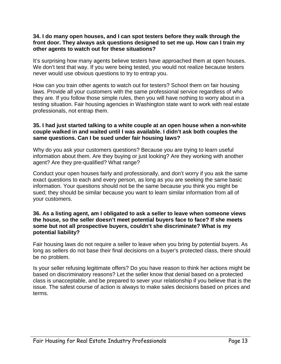#### **34. I do many open houses, and I can spot testers before they walk through the front door. They always ask questions designed to set me up. How can I train my other agents to watch out for these situations?**

It's surprising how many agents believe testers have approached them at open houses. We don't test that way. If you were being tested, you would not realize because testers never would use obvious questions to try to entrap you.

How can you train other agents to watch out for testers? School them on fair housing laws. Provide all your customers with the same professional service regardless of who they are. If you follow those simple rules, then you will have nothing to worry about in a testing situation. Fair housing agencies in Washington state want to work with real estate professionals, not entrap them.

### **35. I had just started talking to a white couple at an open house when a non-white couple walked in and waited until I was available. I didn't ask both couples the same questions. Can I be sued under fair housing laws?**

Why do you ask your customers questions? Because you are trying to learn useful information about them. Are they buying or just looking? Are they working with another agent? Are they pre-qualified? What range?

Conduct your open houses fairly and professionally, and don't worry if you ask the same exact questions to each and every person, as long as you are seeking the same basic information. Your questions should not be the same because you think you might be sued; they should be similar because you want to learn similar information from all of your customers.

### **36. As a listing agent, am I obligated to ask a seller to leave when someone views the house, so the seller doesn't meet potential buyers face to face? If she meets some but not all prospective buyers, couldn't she discriminate? What is my potential liability?**

Fair housing laws do not require a seller to leave when you bring by potential buyers. As long as sellers do not base their final decisions on a buyer's protected class, there should be no problem.

Is your seller refusing legitimate offers? Do you have reason to think her actions might be based on discriminatory reasons? Let the seller know that denial based on a protected class is unacceptable, and be prepared to sever your relationship if you believe that is the issue. The safest course of action is always to make sales decisions based on prices and terms.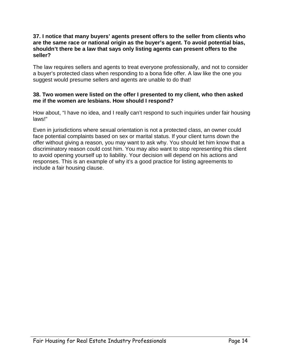### **37. I notice that many buyers' agents present offers to the seller from clients who are the same race or national origin as the buyer's agent. To avoid potential bias, shouldn't there be a law that says only listing agents can present offers to the seller?**

The law requires sellers and agents to treat everyone professionally, and not to consider a buyer's protected class when responding to a bona fide offer. A law like the one you suggest would presume sellers and agents are unable to do that!

### **38. Two women were listed on the offer I presented to my client, who then asked me if the women are lesbians. How should I respond?**

How about, "I have no idea, and I really can't respond to such inquiries under fair housing laws!"

Even in jurisdictions where sexual orientation is not a protected class, an owner could face potential complaints based on sex or marital status. If your client turns down the offer without giving a reason, you may want to ask why. You should let him know that a discriminatory reason could cost him. You may also want to stop representing this client to avoid opening yourself up to liability. Your decision will depend on his actions and responses. This is an example of why it's a good practice for listing agreements to include a fair housing clause.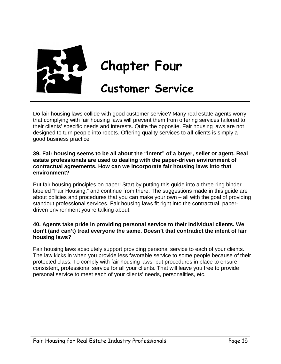

**Chapter Four**

**Customer Service**

Do fair housing laws collide with good customer service? Many real estate agents worry that complying with fair housing laws will prevent them from offering services tailored to their clients' specific needs and interests. Quite the opposite. Fair housing laws are not designed to turn people into robots. Offering quality services to **all** clients is simply a good business practice.

### **39. Fair housing seems to be all about the "intent" of a buyer, seller or agent. Real estate professionals are used to dealing with the paper-driven environment of contractual agreements. How can we incorporate fair housing laws into that environment?**

Put fair housing principles on paper! Start by putting this guide into a three-ring binder labeled "Fair Housing," and continue from there. The suggestions made in this guide are about policies and procedures that you can make your own – all with the goal of providing standout professional services. Fair housing laws fit right into the contractual, paperdriven environment you're talking about.

### **40. Agents take pride in providing personal service to their individual clients. We don't (and can't) treat everyone the same. Doesn't that contradict the intent of fair housing laws?**

Fair housing laws absolutely support providing personal service to each of your clients. The law kicks in when you provide less favorable service to some people because of their protected class. To comply with fair housing laws, put procedures in place to ensure consistent, professional service for all your clients. That will leave you free to provide personal service to meet each of your clients' needs, personalities, etc.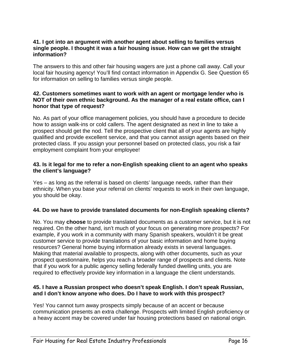### **41. I got into an argument with another agent about selling to families versus single people. I thought it was a fair housing issue. How can we get the straight information?**

The answers to this and other fair housing wagers are just a phone call away. Call your local fair housing agency! You'll find contact information in Appendix G. See Question 65 for information on selling to families versus single people.

### **42. Customers sometimes want to work with an agent or mortgage lender who is NOT of their own ethnic background. As the manager of a real estate office, can I honor that type of request?**

No. As part of your office management policies, you should have a procedure to decide how to assign walk-ins or cold callers. The agent designated as next in line to take a prospect should get the nod. Tell the prospective client that all of your agents are highly qualified and provide excellent service, and that you cannot assign agents based on their protected class. If you assign your personnel based on protected class, you risk a fair employment complaint from your employee!

### **43. Is it legal for me to refer a non-English speaking client to an agent who speaks the client's language?**

Yes – as long as the referral is based on clients' language needs, rather than their ethnicity. When you base your referral on clients' requests to work in their own language, you should be okay.

### **44. Do we have to provide translated documents for non-English speaking clients?**

No. You may **choose** to provide translated documents as a customer service, but it is not required. On the other hand, isn't much of your focus on generating more prospects? For example, if you work in a community with many Spanish speakers, wouldn't it be great customer service to provide translations of your basic information and home buying resources? General home buying information already exists in several languages. Making that material available to prospects, along with other documents, such as your prospect questionnaire, helps you reach a broader range of prospects and clients. Note that if you work for a public agency selling federally funded dwelling units, you are required to effectively provide key information in a language the client understands.

### **45. I have a Russian prospect who doesn't speak English. I don't speak Russian, and I don't know anyone who does. Do I have to work with this prospect?**

Yes! You cannot turn away prospects simply because of an accent or because communication presents an extra challenge. Prospects with limited English proficiency or a heavy accent may be covered under fair housing protections based on national origin.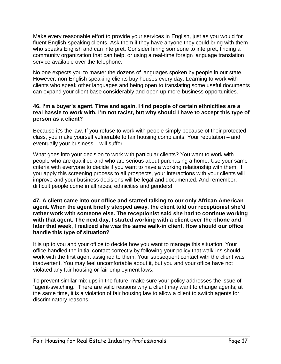Make every reasonable effort to provide your services in English, just as you would for fluent English-speaking clients. Ask them if they have anyone they could bring with them who speaks English and can interpret. Consider hiring someone to interpret, finding a community organization that can help, or using a real-time foreign language translation service available over the telephone.

No one expects you to master the dozens of languages spoken by people in our state. However, non-English speaking clients buy houses every day. Learning to work with clients who speak other languages and being open to translating some useful documents can expand your client base considerably and open up more business opportunities.

### **46. I'm a buyer's agent. Time and again, I find people of certain ethnicities are a real hassle to work with. I'm not racist, but why should I have to accept this type of person as a client?**

Because it's the law. If you refuse to work with people simply because of their protected class, you make yourself vulnerable to fair housing complaints. Your reputation – and eventually your business – will suffer.

What goes into your decision to work with particular clients? You want to work with people who are qualified and who are serious about purchasing a home. Use your same criteria with everyone to decide if you want to have a working relationship with them. If you apply this screening process to all prospects, your interactions with your clients will improve and your business decisions will be legal and documented. And remember, difficult people come in all races, ethnicities and genders!

### **47. A client came into our office and started talking to our only African American agent. When the agent briefly stepped away, the client told our receptionist she'd rather work with someone else. The receptionist said she had to continue working with that agent. The next day, I started working with a client over the phone and later that week, I realized she was the same walk-in client. How should our office handle this type of situation?**

It is up to you and your office to decide how you want to manage this situation. Your office handled the initial contact correctly by following your policy that walk-ins should work with the first agent assigned to them. Your subsequent contact with the client was inadvertent. You may feel uncomfortable about it, but you and your office have not violated any fair housing or fair employment laws.

To prevent similar mix-ups in the future, make sure your policy addresses the issue of "agent-switching." There are valid reasons why a client may want to change agents; at the same time, it is a violation of fair housing law to allow a client to switch agents for discriminatory reasons.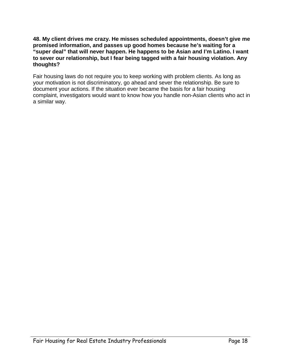### **48. My client drives me crazy. He misses scheduled appointments, doesn't give me promised information, and passes up good homes because he's waiting for a "super deal" that will never happen. He happens to be Asian and I'm Latino. I want to sever our relationship, but I fear being tagged with a fair housing violation. Any thoughts?**

Fair housing laws do not require you to keep working with problem clients. As long as your motivation is not discriminatory, go ahead and sever the relationship. Be sure to document your actions. If the situation ever became the basis for a fair housing complaint, investigators would want to know how you handle non-Asian clients who act in a similar way.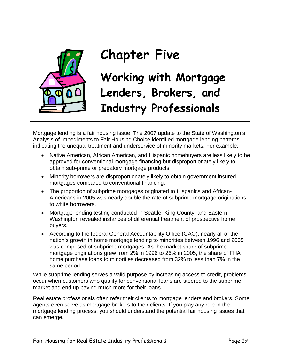

# **Chapter Five**

**Working with Mortgage Lenders, Brokers, and Industry Professionals**

Mortgage lending is a fair housing issue. The 2007 update to the State of Washington's Analysis of Impediments to Fair Housing Choice identified mortgage lending patterns indicating the unequal treatment and underservice of minority markets. For example:

- Native American, African American, and Hispanic homebuyers are less likely to be approved for conventional mortgage financing but disproportionately likely to obtain sub-prime or predatory mortgage products.
- Minority borrowers are disproportionately likely to obtain government insured mortgages compared to conventional financing.
- The proportion of subprime mortgages originated to Hispanics and African-Americans in 2005 was nearly double the rate of subprime mortgage originations to white borrowers.
- Mortgage lending testing conducted in Seattle, King County, and Eastern Washington revealed instances of differential treatment of prospective home buyers.
- According to the federal General Accountability Office (GAO), nearly all of the nation's growth in home mortgage lending to minorities between 1996 and 2005 was comprised of subprime mortgages. As the market share of subprime mortgage originations grew from 2% in 1996 to 26% in 2005, the share of FHA home purchase loans to minorities decreased from 32% to less than 7% in the same period.

While subprime lending serves a valid purpose by increasing access to credit, problems occur when customers who qualify for conventional loans are steered to the subprime market and end up paying much more for their loans.

Real estate professionals often refer their clients to mortgage lenders and brokers. Some agents even serve as mortgage brokers to their clients. If you play any role in the mortgage lending process, you should understand the potential fair housing issues that can emerge.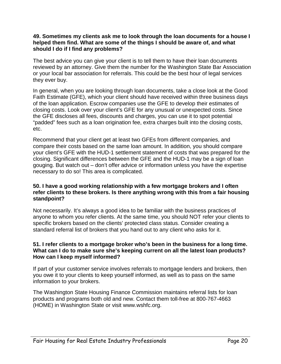### **49. Sometimes my clients ask me to look through the loan documents for a house I helped them find. What are some of the things I should be aware of, and what should I do if I find any problems?**

The best advice you can give your client is to tell them to have their loan documents reviewed by an attorney. Give them the number for the Washington State Bar Association or your local bar association for referrals. This could be the best hour of legal services they ever buy.

In general, when you are looking through loan documents, take a close look at the Good Faith Estimate (GFE), which your client should have received within three business days of the loan application. Escrow companies use the GFE to develop their estimates of closing costs. Look over your client's GFE for any unusual or unexpected costs. Since the GFE discloses all fees, discounts and charges, you can use it to spot potential "padded" fees such as a loan origination fee, extra charges built into the closing costs, etc.

Recommend that your client get at least two GFEs from different companies, and compare their costs based on the same loan amount. In addition, you should compare your client's GFE with the HUD-1 settlement statement of costs that was prepared for the closing. Significant differences between the GFE and the HUD-1 may be a sign of loan gouging. But watch out – don't offer advice or information unless you have the expertise necessary to do so! This area is complicated.

### **50. I have a good working relationship with a few mortgage brokers and I often refer clients to these brokers. Is there anything wrong with this from a fair housing standpoint?**

Not necessarily. It's always a good idea to be familiar with the business practices of anyone to whom you refer clients. At the same time, you should NOT refer your clients to specific brokers based on the clients' protected class status. Consider creating a standard referral list of brokers that you hand out to any client who asks for it.

### **51. I refer clients to a mortgage broker who's been in the business for a long time. What can I do to make sure she's keeping current on all the latest loan products? How can I keep myself informed?**

If part of your customer service involves referrals to mortgage lenders and brokers, then you owe it to your clients to keep yourself informed, as well as to pass on the same information to your brokers.

The Washington State Housing Finance Commission maintains referral lists for loan products and programs both old and new. Contact them toll-free at 800-767-4663 (HOME) in Washington State or visit www.wshfc.org.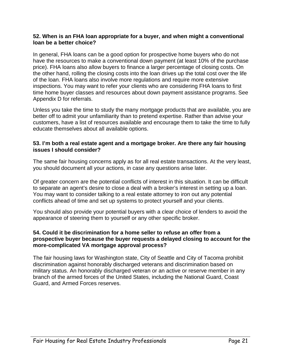### **52. When is an FHA loan appropriate for a buyer, and when might a conventional loan be a better choice?**

In general, FHA loans can be a good option for prospective home buyers who do not have the resources to make a conventional down payment (at least 10% of the purchase price). FHA loans also allow buyers to finance a larger percentage of closing costs. On the other hand, rolling the closing costs into the loan drives up the total cost over the life of the loan. FHA loans also involve more regulations and require more extensive inspections. You may want to refer your clients who are considering FHA loans to first time home buyer classes and resources about down payment assistance programs. See Appendix D for referrals.

Unless you take the time to study the many mortgage products that are available, you are better off to admit your unfamiliarity than to pretend expertise. Rather than advise your customers, have a list of resources available and encourage them to take the time to fully educate themselves about all available options.

### **53. I'm both a real estate agent and a mortgage broker. Are there any fair housing issues I should consider?**

The same fair housing concerns apply as for all real estate transactions. At the very least, you should document all your actions, in case any questions arise later.

Of greater concern are the potential conflicts of interest in this situation. It can be difficult to separate an agent's desire to close a deal with a broker's interest in setting up a loan. You may want to consider talking to a real estate attorney to iron out any potential conflicts ahead of time and set up systems to protect yourself and your clients.

You should also provide your potential buyers with a clear choice of lenders to avoid the appearance of steering them to yourself or any other specific broker.

### **54. Could it be discrimination for a home seller to refuse an offer from a prospective buyer because the buyer requests a delayed closing to account for the more-complicated VA mortgage approval process?**

The fair housing laws for Washington state, City of Seattle and City of Tacoma prohibit discrimination against honorably discharged veterans and discrimination based on military status. An honorably discharged veteran or an active or reserve member in any branch of the armed forces of the United States, including the National Guard, Coast Guard, and Armed Forces reserves.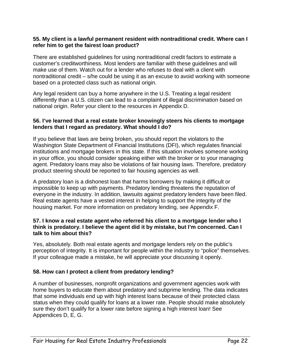### **55. My client is a lawful permanent resident with nontraditional credit. Where can I refer him to get the fairest loan product?**

There are established guidelines for using nontraditional credit factors to estimate a customer's creditworthiness. Most lenders are familiar with these guidelines and will make use of them. Watch out for a lender who refuses to deal with a client with nontraditional credit – s/he could be using it as an excuse to avoid working with someone based on a protected class such as national origin.

Any legal resident can buy a home anywhere in the U.S. Treating a legal resident differently than a U.S. citizen can lead to a complaint of illegal discrimination based on national origin. Refer your client to the resources in Appendix D.

### **56. I've learned that a real estate broker knowingly steers his clients to mortgage lenders that I regard as predatory. What should I do?**

If you believe that laws are being broken, you should report the violators to the Washington State Department of Financial Institutions (DFI), which regulates financial institutions and mortgage brokers in this state. If this situation involves someone working in your office, you should consider speaking either with the broker or to your managing agent. Predatory loans may also be violations of fair housing laws. Therefore, predatory product steering should be reported to fair housing agencies as well.

A predatory loan is a dishonest loan that harms borrowers by making it difficult or impossible to keep up with payments. Predatory lending threatens the reputation of everyone in the industry. In addition, lawsuits against predatory lenders have been filed. Real estate agents have a vested interest in helping to support the integrity of the housing market. For more information on predatory lending, see Appendix F.

### **57. I know a real estate agent who referred his client to a mortgage lender who I think is predatory. I believe the agent did it by mistake, but I'm concerned. Can I talk to him about this?**

Yes, absolutely. Both real estate agents and mortgage lenders rely on the public's perception of integrity. It is important for people within the industry to "police" themselves. If your colleague made a mistake, he will appreciate your discussing it openly.

### **58. How can I protect a client from predatory lending?**

A number of businesses, nonprofit organizations and government agencies work with home buyers to educate them about predatory and subprime lending. The data indicates that some individuals end up with high interest loans because of their protected class status when they could qualify for loans at a lower rate. People should make absolutely sure they don't qualify for a lower rate before signing a high interest loan! See Appendices D, E, G.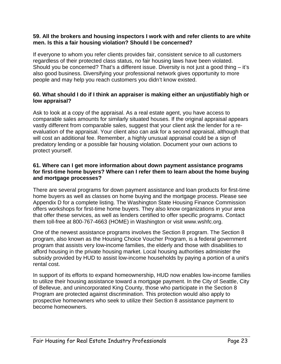### **59. All the brokers and housing inspectors I work with and refer clients to are white men. Is this a fair housing violation? Should I be concerned?**

If everyone to whom you refer clients provides fair, consistent service to all customers regardless of their protected class status, no fair housing laws have been violated. Should you be concerned? That's a different issue. Diversity is not just a good thing – it's also good business. Diversifying your professional network gives opportunity to more people and may help you reach customers you didn't know existed.

### **60. What should I do if I think an appraiser is making either an unjustifiably high or low appraisal?**

Ask to look at a copy of the appraisal. As a real estate agent, you have access to comparable sales amounts for similarly situated houses. If the original appraisal appears vastly different from comparable sales, suggest that your client ask the lender for a reevaluation of the appraisal. Your client also can ask for a second appraisal, although that will cost an additional fee. Remember, a highly unusual appraisal could be a sign of predatory lending or a possible fair housing violation. Document your own actions to protect yourself.

### **61. Where can I get more information about down payment assistance programs for first-time home buyers? Where can I refer them to learn about the home buying and mortgage processes?**

There are several programs for down payment assistance and loan products for first-time home buyers as well as classes on home buying and the mortgage process. Please see Appendix D for a complete listing. The Washington State Housing Finance Commission offers workshops for first-time home buyers. They also know organizations in your area that offer these services, as well as lenders certified to offer specific programs. Contact them toll-free at 800-767-4663 (HOME) in Washington or visit www.wshfc.org.

One of the newest assistance programs involves the Section 8 program. The Section 8 program, also known as the Housing Choice Voucher Program, is a federal government program that assists very low-income families, the elderly and those with disabilities to afford housing in the private housing market. Local housing authorities administer the subsidy provided by HUD to assist low-income households by paying a portion of a unit's rental cost.

In support of its efforts to expand homeownership, HUD now enables low-income families to utilize their housing assistance toward a mortgage payment. In the City of Seattle, City of Bellevue, and unincorporated King County, those who participate in the Section 8 Program are protected against discrimination. This protection would also apply to prospective homeowners who seek to utilize their Section 8 assistance payment to become homeowners.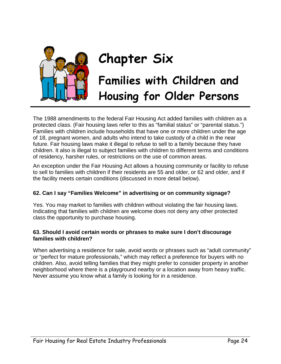

# **Chapter Six Families with Children and Housing for Older Persons**

The 1988 amendments to the federal Fair Housing Act added families with children as a protected class. (Fair housing laws refer to this as "familial status" or "parental status.") Families with children include households that have one or more children under the age of 18, pregnant women, and adults who intend to take custody of a child in the near future. Fair housing laws make it illegal to refuse to sell to a family because they have children. It also is illegal to subject families with children to different terms and conditions of residency, harsher rules, or restrictions on the use of common areas.

An exception under the Fair Housing Act allows a housing community or facility to refuse to sell to families with children if their residents are 55 and older, or 62 and older, and if the facility meets certain conditions (discussed in more detail below).

### **62. Can I say "Families Welcome" in advertising or on community signage?**

Yes. You may market to families with children without violating the fair housing laws. Indicating that families with children are welcome does not deny any other protected class the opportunity to purchase housing.

### **63. Should I avoid certain words or phrases to make sure I don't discourage families with children?**

When advertising a residence for sale, avoid words or phrases such as "adult community" or "perfect for mature professionals," which may reflect a preference for buyers with no children. Also, avoid telling families that they might prefer to consider property in another neighborhood where there is a playground nearby or a location away from heavy traffic. Never assume you know what a family is looking for in a residence.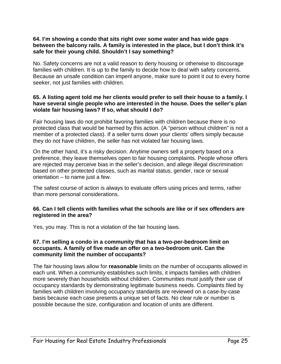### **64. I'm showing a condo that sits right over some water and has wide gaps between the balcony rails. A family is interested in the place, but I don't think it's safe for their young child. Shouldn't I say something?**

No. Safety concerns are not a valid reason to deny housing or otherwise to discourage families with children. It is up to the family to decide how to deal with safety concerns. Because an unsafe condition can imperil anyone, make sure to point it out to every home seeker, not just families with children.

#### **65. A listing agent told me her clients would prefer to sell their house to a family. I have several single people who are interested in the house. Does the seller's plan violate fair housing laws? If so, what should I do?**

Fair housing laws do not prohibit favoring families with children because there is no protected class that would be harmed by this action. (A "person without children" is not a member of a protected class). If a seller turns down your clients' offers simply because they do not have children, the seller has not violated fair housing laws.

On the other hand, it's a risky decision. Anytime owners sell a property based on a preference, they leave themselves open to fair housing complaints. People whose offers are rejected may perceive bias in the seller's decision, and allege illegal discrimination based on other protected classes, such as marital status, gender, race or sexual orientation – to name just a few.

The safest course of action is always to evaluate offers using prices and terms, rather than more personal considerations.

### **66. Can I tell clients with families what the schools are like or if sex offenders are registered in the area?**

Yes, you may. This is not a violation of the fair housing laws.

### **67. I'm selling a condo in a community that has a two-per-bedroom limit on occupants. A family of five made an offer on a two-bedroom unit. Can the community limit the number of occupants?**

The fair housing laws allow for **reasonable** limits on the number of occupants allowed in each unit. When a community establishes such limits, it impacts families with children more severely than households without children. Communities must justify their use of occupancy standards by demonstrating legitimate business needs. Complaints filed by families with children involving occupancy standards are reviewed on a case-by-case basis because each case presents a unique set of facts. No clear rule or number is possible because the size, configuration and location of units are different.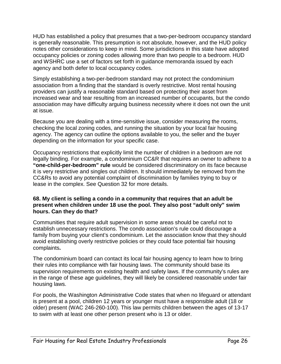HUD has established a policy that presumes that a two-per-bedroom occupancy standard is generally reasonable. This presumption is not absolute, however, and the HUD policy notes other considerations to keep in mind. Some jurisdictions in this state have adopted occupancy policies or zoning codes allowing more than two people to a bedroom. HUD and WSHRC use a set of factors set forth in guidance memoranda issued by each agency and both defer to local occupancy codes.

Simply establishing a two-per-bedroom standard may not protect the condominium association from a finding that the standard is overly restrictive. Most rental housing providers can justify a reasonable standard based on protecting their asset from increased wear and tear resulting from an increased number of occupants, but the condo association may have difficulty arguing business necessity where it does not own the unit at issue.

Because you are dealing with a time-sensitive issue, consider measuring the rooms, checking the local zoning codes, and running the situation by your local fair housing agency. The agency can outline the options available to you, the seller and the buyer depending on the information for your specific case.

Occupancy restrictions that explicitly limit the number of children in a bedroom are not legally binding. For example, a condominium CC&R that requires an owner to adhere to a **"one-child-per-bedroom" rule** would be considered discriminatory on its face because it is very restrictive and singles out children. It should immediately be removed from the CC&Rs to avoid any potential complaint of discrimination by families trying to buy or lease in the complex. See Question 32 for more details.

### **68. My client is selling a condo in a community that requires that an adult be present when children under 18 use the pool. They also post "adult only" swim hours. Can they do that?**

Communities that require adult supervision in some areas should be careful not to establish unnecessary restrictions. The condo association's rule could discourage a family from buying your client's condominium. Let the association know that they should avoid establishing overly restrictive policies or they could face potential fair housing complaints**.** 

The condominium board can contact its local fair housing agency to learn how to bring their rules into compliance with fair housing laws. The community should base its supervision requirements on existing health and safety laws. If the community's rules are in the range of these age guidelines, they will likely be considered reasonable under fair housing laws.

For pools, the Washington Administrative Code states that when no lifeguard or attendant is present at a pool, children 12 years or younger must have a responsible adult (18 or older) present (WAC 246-260-100). This law permits children between the ages of 13-17 to swim with at least one other person present who is 13 or older.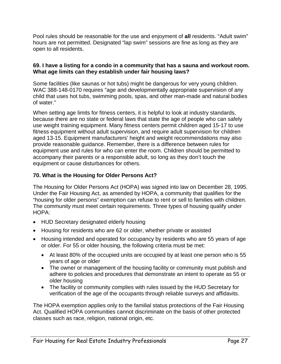Pool rules should be reasonable for the use and enjoyment of **all** residents. "Adult swim" hours are not permitted. Designated "lap swim" sessions are fine as long as they are open to all residents.

### **69. I have a listing for a condo in a community that has a sauna and workout room. What age limits can they establish under fair housing laws?**

Some facilities (like saunas or hot tubs) might be dangerous for very young children. WAC 388-148-0170 requires "age and developmentally appropriate supervision of any child that uses hot tubs, swimming pools, spas, and other man-made and natural bodies of water."

When setting age limits for fitness centers, it is helpful to look at industry standards, because there are no state or federal laws that state the age of people who can safely use weight training equipment. Many fitness centers permit children aged 15-17 to use fitness equipment without adult supervision, and require adult supervision for children aged 13-15. Equipment manufacturers' height and weight recommendations may also provide reasonable guidance. Remember, there is a difference between rules for equipment use and rules for who can enter the room. Children should be permitted to accompany their parents or a responsible adult, so long as they don't touch the equipment or cause disturbances for others.

### **70. What is the Housing for Older Persons Act?**

The Housing for Older Persons Act (HOPA) was signed into law on December 28, 1995. Under the Fair Housing Act, as amended by HOPA, a community that qualifies for the "housing for older persons" exemption can refuse to rent or sell to families with children. The community must meet certain requirements. Three types of housing qualify under HOPA:

- HUD Secretary designated elderly housing
- Housing for residents who are 62 or older, whether private or assisted
- Housing intended and operated for occupancy by residents who are 55 years of age or older. For 55 or older housing, the following criteria must be met:
	- At least 80% of the occupied units are occupied by at least one person who is 55 years of age or older
	- The owner or management of the housing facility or community must publish and adhere to policies and procedures that demonstrate an intent to operate as 55 or older housing
	- The facility or community complies with rules issued by the HUD Secretary for verification of the age of the occupants through reliable surveys and affidavits.

The HOPA exemption applies only to the familial status protections of the Fair Housing Act. Qualified HOPA communities cannot discriminate on the basis of other protected classes such as race, religion, national origin, etc.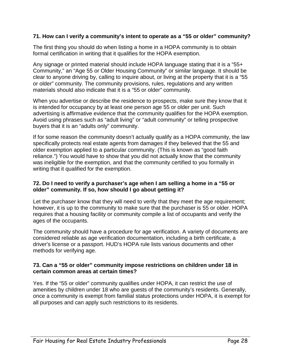### **71. How can I verify a community's intent to operate as a "55 or older" community?**

The first thing you should do when listing a home in a HOPA community is to obtain formal certification in writing that it qualifies for the HOPA exemption.

Any signage or printed material should include HOPA language stating that it is a "55+ Community," an "Age 55 or Older Housing Community" or similar language. It should be clear to anyone driving by, calling to inquire about, or living at the property that it is a "55 or older" community. The community provisions, rules, regulations and any written materials should also indicate that it is a "55 or older" community.

When you advertise or describe the residence to prospects, make sure they know that it is intended for occupancy by at least one person age 55 or older per unit. Such advertising is affirmative evidence that the community qualifies for the HOPA exemption. Avoid using phrases such as "adult living" or "adult community" or telling prospective buyers that it is an "adults only" community.

If for some reason the community doesn't actually qualify as a HOPA community, the law specifically protects real estate agents from damages if they believed that the 55 and older exemption applied to a particular community. (This is known as "good faith reliance.") You would have to show that you did not actually know that the community was ineligible for the exemption, and that the community certified to you formally in writing that it qualified for the exemption.

### **72. Do I need to verify a purchaser's age when I am selling a home in a "55 or older" community. If so, how should I go about getting it?**

Let the purchaser know that they will need to verify that they meet the age requirement; however, it is up to the community to make sure that the purchaser is 55 or older. HOPA requires that a housing facility or community compile a list of occupants and verify the ages of the occupants.

The community should have a procedure for age verification. A variety of documents are considered reliable as age verification documentation, including a birth certificate, a driver's license or a passport. HUD's HOPA rule lists various documents and other methods for verifying age.

### **73. Can a "55 or older" community impose restrictions on children under 18 in certain common areas at certain times?**

Yes. If the "55 or older" community qualifies under HOPA, it can restrict the use of amenities by children under 18 who are guests of the community's residents. Generally, once a community is exempt from familial status protections under HOPA, it is exempt for all purposes and can apply such restrictions to its residents.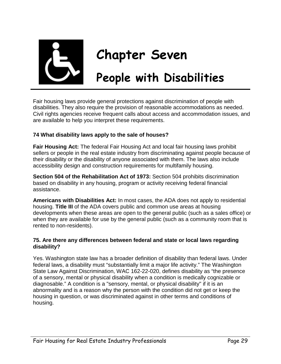

# **Chapter Seven**

# **People with Disabilities**

Fair housing laws provide general protections against discrimination of people with disabilities. They also require the provision of reasonable accommodations as needed. Civil rights agencies receive frequent calls about access and accommodation issues, and are available to help you interpret these requirements.

### **74 What disability laws apply to the sale of houses?**

**Fair Housing Act:** The federal Fair Housing Act and local fair housing laws prohibit sellers or people in the real estate industry from discriminating against people because of their disability or the disability of anyone associated with them. The laws also include accessibility design and construction requirements for multifamily housing.

**Section 504 of the Rehabilitation Act of 1973:** Section 504 prohibits discrimination based on disability in any housing, program or activity receiving federal financial assistance.

**Americans with Disabilities Act:** In most cases, the ADA does not apply to residential housing. **Title III** of the ADA covers public and common use areas at housing developments when these areas are open to the general public (such as a sales office) or when they are available for use by the general public (such as a community room that is rented to non-residents).

### **75. Are there any differences between federal and state or local laws regarding disability?**

Yes. Washington state law has a broader definition of disability than federal laws. Under federal laws, a disability must "substantially limit a major life activity." The Washington State Law Against Discrimination, WAC 162-22-020, defines disability as "the presence of a sensory, mental or physical disability when a condition is medically cognizable or diagnosable." A condition is a "sensory, mental, or physical disability" if it is an abnormality and is a reason why the person with the condition did not get or keep the housing in question, or was discriminated against in other terms and conditions of housing.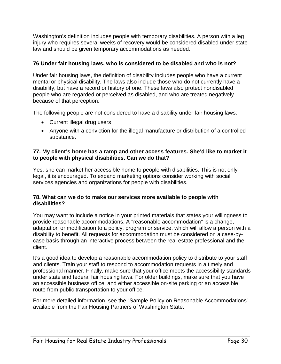Washington's definition includes people with temporary disabilities. A person with a leg injury who requires several weeks of recovery would be considered disabled under state law and should be given temporary accommodations as needed.

### **76 Under fair housing laws, who is considered to be disabled and who is not?**

Under fair housing laws, the definition of disability includes people who have a current mental or physical disability. The laws also include those who do not currently have a disability, but have a record or history of one. These laws also protect nondisabled people who are regarded or perceived as disabled, and who are treated negatively because of that perception.

The following people are not considered to have a disability under fair housing laws:

- Current illegal drug users
- Anyone with a conviction for the illegal manufacture or distribution of a controlled substance.

### **77. My client's home has a ramp and other access features. She'd like to market it to people with physical disabilities. Can we do that?**

Yes, she can market her accessible home to people with disabilities. This is not only legal, it is encouraged. To expand marketing options consider working with social services agencies and organizations for people with disabilities.

### **78. What can we do to make our services more available to people with disabilities?**

You may want to include a notice in your printed materials that states your willingness to provide reasonable accommodations. A "reasonable accommodation" is a change, adaptation or modification to a policy, program or service, which will allow a person with a disability to benefit. All requests for accommodation must be considered on a case-bycase basis through an interactive process between the real estate professional and the client.

It's a good idea to develop a reasonable accommodation policy to distribute to your staff and clients. Train your staff to respond to accommodation requests in a timely and professional manner. Finally, make sure that your office meets the accessibility standards under state and federal fair housing laws. For older buildings, make sure that you have an accessible business office, and either accessible on-site parking or an accessible route from public transportation to your office.

For more detailed information, see the "Sample Policy on Reasonable Accommodations" available from the Fair Housing Partners of Washington State.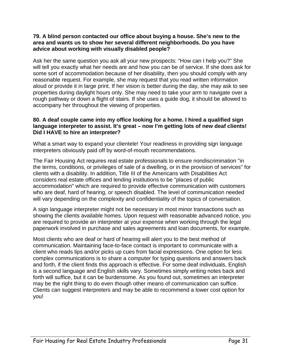### **79. A blind person contacted our office about buying a house. She's new to the area and wants us to show her several different neighborhoods. Do you have advice about working with visually disabled people?**

Ask her the same question you ask all your new prospects: "How can I help you?" She will tell you exactly what her needs are and how you can be of service. If she does ask for some sort of accommodation because of her disability, then you should comply with any reasonable request. For example, she may request that you read written information aloud or provide it in large print. If her vision is better during the day, she may ask to see properties during daylight hours only. She may need to take your arm to navigate over a rough pathway or down a flight of stairs. If she uses a guide dog, it should be allowed to accompany her throughout the viewing of properties.

### **80. A deaf couple came into my office looking for a home. I hired a qualified sign language interpreter to assist. It's great – now I'm getting lots of new deaf clients! Did I HAVE to hire an interpreter?**

What a smart way to expand your clientele! Your readiness in providing sign language interpreters obviously paid off by word-of-mouth recommendations.

The Fair Housing Act requires real estate professionals to ensure nondiscrimination "in the terms, conditions, or privileges of sale of a dwelling, or in the provision of services" for clients with a disability. In addition, Title III of the Americans with Disabilities Act considers real estate offices and lending institutions to be "places of public accommodation" which are required to provide effective communication with customers who are deaf, hard of hearing, or speech disabled. The level of communication needed will vary depending on the complexity and confidentiality of the topics of conversation.

A sign language interpreter might not be necessary in most minor transactions such as showing the clients available homes. Upon request with reasonable advanced notice, you are required to provide an interpreter at your expense when working through the legal paperwork involved in purchase and sales agreements and loan documents, for example.

Most clients who are deaf or hard of hearing will alert you to the best method of communication. Maintaining face-to-face contact is important to communicate with a client who reads lips and/or picks up cues from facial expressions. One option for less complex communications is to share a computer for typing questions and answers back and forth, if the client finds this approach is effective. For some deaf individuals, English is a second language and English skills vary. Sometimes simply writing notes back and forth will suffice, but it can be burdensome. As you found out, sometimes an interpreter may be the right thing to do even though other means of communication can suffice. Clients can suggest interpreters and may be able to recommend a lower cost option for you!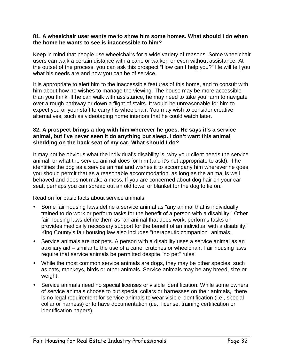#### **81. A wheelchair user wants me to show him some homes. What should I do when the home he wants to see is inaccessible to him?**

Keep in mind that people use wheelchairs for a wide variety of reasons. Some wheelchair users can walk a certain distance with a cane or walker, or even without assistance. At the outset of the process, you can ask this prospect "How can I help you?" He will tell you what his needs are and how you can be of service.

It is appropriate to alert him to the inaccessible features of this home, and to consult with him about how he wishes to manage the viewing. The house may be more accessible than you think. If he can walk with assistance, he may need to take your arm to navigate over a rough pathway or down a flight of stairs. It would be unreasonable for him to expect you or your staff to carry his wheelchair. You may wish to consider creative alternatives, such as videotaping home interiors that he could watch later.

### **82. A prospect brings a dog with him wherever he goes. He says it's a service animal, but I've never seen it do anything but sleep. I don't want this animal shedding on the back seat of my car. What should I do?**

It may not be obvious what the individual's disability is, why your client needs the service animal, or what the service animal does for him (and it's not appropriate to ask!). If he identifies the dog as a service animal and wishes it to accompany him wherever he goes, you should permit that as a reasonable accommodation, as long as the animal is well behaved and does not make a mess. If you are concerned about dog hair on your car seat, perhaps you can spread out an old towel or blanket for the dog to lie on.

Read on for basic facts about service animals:

- Some fair housing laws define a service animal as "any animal that is individually trained to do work or perform tasks for the benefit of a person with a disability." Other fair housing laws define them as "an animal that does work, performs tasks or provides medically necessary support for the benefit of an individual with a disability." King County's fair housing law also includes "therapeutic companion" animals.
- Service animals are **not** pets. A person with a disability uses a service animal as an auxiliary aid – similar to the use of a cane, crutches or wheelchair. Fair housing laws require that service animals be permitted despite "no pet" rules.
- While the most common service animals are dogs, they may be other species, such as cats, monkeys, birds or other animals. Service animals may be any breed, size or weight.
- Service animals need no special licenses or visible identification. While some owners of service animals choose to put special collars or harnesses on their animals, there is no legal requirement for service animals to wear visible identification (i.e., special collar or harness) or to have documentation (i.e., license, training certification or identification papers).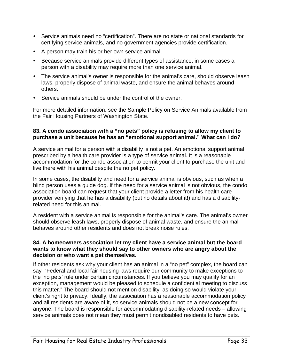- Service animals need no "certification". There are no state or national standards for certifying service animals, and no government agencies provide certification.
- A person may train his or her own service animal.
- Because service animals provide different types of assistance, in some cases a person with a disability may require more than one service animal.
- The service animal's owner is responsible for the animal's care, should observe leash laws, properly dispose of animal waste, and ensure the animal behaves around others.
- Service animals should be under the control of the owner.

For more detailed information, see the Sample Policy on Service Animals available from the Fair Housing Partners of Washington State.

### **83. A condo association with a "no pets" policy is refusing to allow my client to purchase a unit because he has an "emotional support animal." What can I do?**

A service animal for a person with a disability is not a pet. An emotional support animal prescribed by a health care provider is a type of service animal. It is a reasonable accommodation for the condo association to permit your client to purchase the unit and live there with his animal despite the no pet policy.

In some cases, the disability and need for a service animal is obvious, such as when a blind person uses a guide dog. If the need for a service animal is not obvious, the condo association board can request that your client provide a letter from his health care provider verifying that he has a disability (but no details about it!) and has a disabilityrelated need for this animal.

A resident with a service animal is responsible for the animal's care. The animal's owner should observe leash laws, properly dispose of animal waste, and ensure the animal behaves around other residents and does not break noise rules.

### **84. A homeowners association let my client have a service animal but the board wants to know what they should say to other owners who are angry about the decision or who want a pet themselves.**

If other residents ask why your client has an animal in a "no pet" complex, the board can say "Federal and local fair housing laws require our community to make exceptions to the 'no pets' rule under certain circumstances. If you believe you may qualify for an exception, management would be pleased to schedule a confidential meeting to discuss this matter." The board should not mention disability, as doing so would violate your client's right to privacy. Ideally, the association has a reasonable accommodation policy and all residents are aware of it, so service animals should not be a new concept for anyone. The board is responsible for accommodating disability-related needs – allowing service animals does not mean they must permit nondisabled residents to have pets.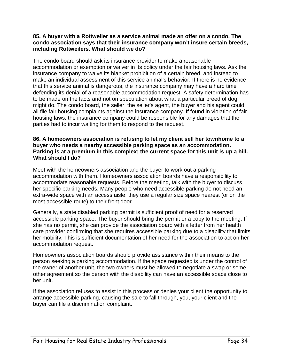### **85. A buyer with a Rottweiler as a service animal made an offer on a condo. The condo association says that their insurance company won't insure certain breeds, including Rottweilers. What should we do?**

The condo board should ask its insurance provider to make a reasonable accommodation or exemption or waiver in its policy under the fair housing laws. Ask the insurance company to waive its blanket prohibition of a certain breed, and instead to make an individual assessment of this service animal's behavior. If there is no evidence that this service animal is dangerous, the insurance company may have a hard time defending its denial of a reasonable accommodation request. A safety determination has to be made on the facts and not on speculation about what a particular breed of dog might do. The condo board, the seller, the seller's agent, the buyer and his agent could all file fair housing complaints against the insurance company. If found in violation of fair housing laws, the insurance company could be responsible for any damages that the parties had to incur waiting for them to respond to the request.

### **86. A homeowners association is refusing to let my client sell her townhome to a buyer who needs a nearby accessible parking space as an accommodation. Parking is at a premium in this complex; the current space for this unit is up a hill. What should I do?**

Meet with the homeowners association and the buyer to work out a parking accommodation with them. Homeowners association boards have a responsibility to accommodate reasonable requests. Before the meeting, talk with the buyer to discuss her specific parking needs. Many people who need accessible parking do not need an extra-wide space with an access aisle; they use a regular size space nearest (or on the most accessible route) to their front door.

Generally, a state disabled parking permit is sufficient proof of need for a reserved accessible parking space. The buyer should bring the permit or a copy to the meeting. If she has no permit, she can provide the association board with a letter from her health care provider confirming that she requires accessible parking due to a disability that limits her mobility. This is sufficient documentation of her need for the association to act on her accommodation request.

Homeowners association boards should provide assistance within their means to the person seeking a parking accommodation. If the space requested is under the control of the owner of another unit, the two owners must be allowed to negotiate a swap or some other agreement so the person with the disability can have an accessible space close to her unit.

If the association refuses to assist in this process or denies your client the opportunity to arrange accessible parking, causing the sale to fall through, you, your client and the buyer can file a discrimination complaint.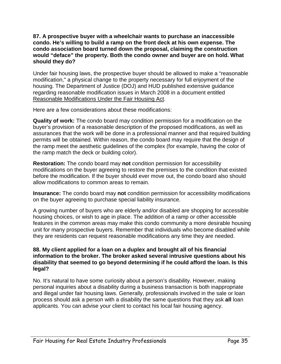### **87. A prospective buyer with a wheelchair wants to purchase an inaccessible condo. He's willing to build a ramp on the front deck at his own expense. The condo association board turned down the proposal, claiming the construction would "deface" the property. Both the condo owner and buyer are on hold. What should they do?**

Under fair housing laws, the prospective buyer should be allowed to make a "reasonable modification," a physical change to the property necessary for full enjoyment of the housing. The Department of Justice (DOJ) and HUD published extensive guidance regarding reasonable modification issues in March 2008 in a document entitled Reasonable Modifications Under the Fair Housing Act.

Here are a few considerations about these modifications:

**Quality of work:** The condo board may condition permission for a modification on the buyer's provision of a reasonable description of the proposed modifications, as well as assurances that the work will be done in a professional manner and that required building permits will be obtained. Within reason, the condo board may require that the design of the ramp meet the aesthetic guidelines of the complex (for example, having the color of the ramp match the deck or building color).

**Restoration:** The condo board may **not** condition permission for accessibility modifications on the buyer agreeing to restore the premises to the condition that existed before the modification. If the buyer should ever move out, the condo board also should allow modifications to common areas to remain.

**Insurance:** The condo board may **not** condition permission for accessibility modifications on the buyer agreeing to purchase special liability insurance.

A growing number of buyers who are elderly and/or disabled are shopping for accessible housing choices, or wish to age in place. The addition of a ramp or other accessible features in the common areas may make this condo community a more desirable housing unit for many prospective buyers. Remember that individuals who become disabled while they are residents can request reasonable modifications any time they are needed.

### **88. My client applied for a loan on a duplex and brought all of his financial information to the broker. The broker asked several intrusive questions about his disability that seemed to go beyond determining if he could afford the loan. Is this legal?**

No. It's natural to have some curiosity about a person's disability. However, making personal inquiries about a disability during a business transaction is both inappropriate and illegal under fair housing laws. Generally, professionals involved in the sale or loan process should ask a person with a disability the same questions that they ask **all** loan applicants. You can advise your client to contact his local fair housing agency.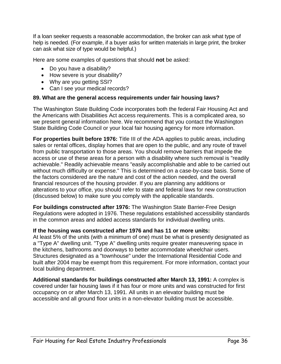If a loan seeker requests a reasonable accommodation, the broker can ask what type of help is needed. (For example, if a buyer asks for written materials in large print, the broker can ask what size of type would be helpful.)

Here are some examples of questions that should **not** be asked:

- Do you have a disability?
- How severe is your disability?
- Why are you getting SSI?
- Can I see your medical records?

### **89. What are the general access requirements under fair housing laws?**

The Washington State Building Code incorporates both the federal Fair Housing Act and the Americans with Disabilities Act access requirements. This is a complicated area, so we present general information here. We recommend that you contact the Washington State Building Code Council or your local fair housing agency for more information.

**For properties built before 1976:** Title III of the ADA applies to public areas, including sales or rental offices, display homes that are open to the public, and any route of travel from public transportation to those areas. You should remove barriers that impede the access or use of these areas for a person with a disability where such removal is "readily achievable." Readily achievable means "easily accomplishable and able to be carried out without much difficulty or expense." This is determined on a case-by-case basis. Some of the factors considered are the nature and cost of the action needed, and the overall financial resources of the housing provider. If you are planning any additions or alterations to your office, you should refer to state and federal laws for new construction (discussed below) to make sure you comply with the applicable standards.

**For buildings constructed after 1976:** The Washington State Barrier-Free Design Regulations were adopted in 1976. These regulations established accessibility standards in the common areas and added access standards for individual dwelling units.

### **If the housing was constructed after 1976 and has 11 or more units:**

At least 5% of the units (with a minimum of one) must be what is presently designated as a "Type A" dwelling unit. "Type A" dwelling units require greater maneuvering space in the kitchens, bathrooms and doorways to better accommodate wheelchair users. Structures designated as a "townhouse" under the International Residential Code and built after 2004 may be exempt from this requirement. For more information, contact your local building department.

**Additional standards for buildings constructed after March 13, 1991:** A complex is covered under fair housing laws if it has four or more units and was constructed for first occupancy on or after March 13, 1991. All units in an elevator building must be accessible and all ground floor units in a non-elevator building must be accessible.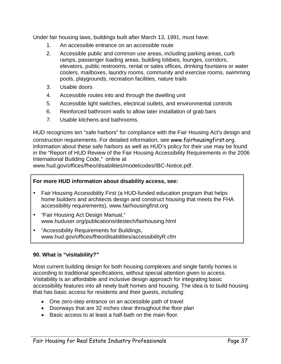Under fair housing laws, buildings built after March 13, 1991, must have:

- 1. An accessible entrance on an accessible route
- 2. Accessible public and common use areas, including parking areas, curb ramps, passenger loading areas, building lobbies, lounges, corridors, elevators, public restrooms, rental or sales offices, drinking fountains or water coolers, mailboxes, laundry rooms, community and exercise rooms, swimming pools, playgrounds, recreation facilities, nature trails
- 3. Usable doors
- 4. Accessible routes into and through the dwelling unit
- 5. Accessible light switches, electrical outlets, and environmental controls
- 6. Reinforced bathroom walls to allow later installation of grab bars
- 7. Usable kitchens and bathrooms.

HUD recognizes ten "safe harbors" for compliance with the Fair Housing Act's design and construction requirements. For detailed information, see www.fairhousingfirst.org. Information about these safe harbors as well as HUD's policy for their use may be found in the "Report of HUD Review of the Fair Housing Accessibility Requirements in the 2006 International Building Code," online at

www.hud.gov/offices/fheo/disabilities/modelcodes/IBC-Notice.pdf.

### **For more HUD information about disability access, see:**

- Fair Housing Accessibility First (a HUD-funded education program that helps home builders and architects design and construct housing that meets the FHA accessibility requirements), www.fairhousingfirst.org
- "Fair Housing Act Design Manual," www.huduser.org/publications/destech/fairhousing.html
- "Accessibility Requirements for Buildings, www.hud.gov/offices/fheo/disabilities/accessibilityR.cfm

### **90. What is "visitability?"**

Most current building design for both housing complexes and single family homes is according to traditional specifications, without special attention given to access. Visitability is an affordable and inclusive design approach for integrating basic accessibility features into all newly built homes and housing. The idea is to build housing that has basic access for residents and their guests, including:

- One zero-step entrance on an accessible path of travel
- Doorways that are 32 inches clear throughout the floor plan
- Basic access to at least a half-bath on the main floor.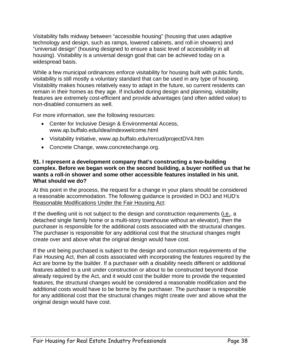Visitability falls midway between "accessible housing" (housing that uses adaptive technology and design, such as ramps, lowered cabinets, and roll-in showers) and "universal design" (housing designed to ensure a basic level of accessibility in all housing). Visitability is a universal design goal that can be achieved today on a widespread basis.

While a few municipal ordinances enforce visitability for housing built with public funds, visitability is still mostly a voluntary standard that can be used in any type of housing. Visitability makes houses relatively easy to adapt in the future, so current residents can remain in their homes as they age. If included during design and planning, visitability features are extremely cost-efficient and provide advantages (and often added value) to non-disabled consumers as well.

For more information, see the following resources:

- Center for Inclusive Design & Environmental Access, www.ap.buffalo.edu/idea/indexwelcome.html
- Visitability Initiative, www.ap.buffalo.edu/rercud/projectDV4.htm
- Concrete Change, www.concretechange.org.

### **91. I represent a development company that's constructing a two-building complex. Before we began work on the second building, a buyer notified us that he wants a roll-in shower and some other accessible features installed in his unit. What should we do?**

At this point in the process, the request for a change in your plans should be considered a reasonable accommodation. The following guidance is provided in DOJ and HUD's Reasonable Modifications Under the Fair Housing Act:

If the dwelling unit is not subject to the design and construction requirements (i.e., a detached single family home or a multi-story townhouse without an elevator), then the purchaser is responsible for the additional costs associated with the structural changes. The purchaser is responsible for any additional cost that the structural changes might create over and above what the original design would have cost.

If the unit being purchased is subject to the design and construction requirements of the Fair Housing Act, then all costs associated with incorporating the features required by the Act are borne by the builder. If a purchaser with a disability needs different or additional features added to a unit under construction or about to be constructed beyond those already required by the Act, and it would cost the builder more to provide the requested features, the structural changes would be considered a reasonable modification and the additional costs would have to be borne by the purchaser. The purchaser is responsible for any additional cost that the structural changes might create over and above what the original design would have cost.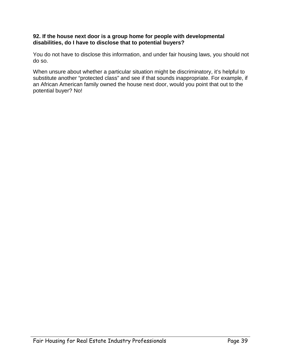### **92. If the house next door is a group home for people with developmental disabilities, do I have to disclose that to potential buyers?**

You do not have to disclose this information, and under fair housing laws, you should not do so.

When unsure about whether a particular situation might be discriminatory, it's helpful to substitute another "protected class" and see if that sounds inappropriate. For example, if an African American family owned the house next door, would you point that out to the potential buyer? No!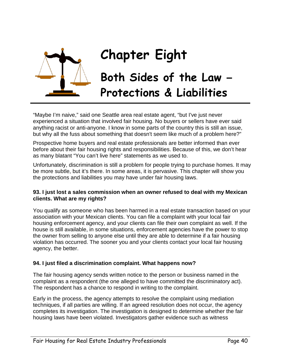

# **Chapter Eight**

# **Both Sides of the Law – Protections & Liabilities**

"Maybe I'm naive," said one Seattle area real estate agent, "but I've just never experienced a situation that involved fair housing. No buyers or sellers have ever said anything racist or anti-anyone. I know in some parts of the country this is still an issue, but why all the fuss about something that doesn't seem like much of a problem here?"

Prospective home buyers and real estate professionals are better informed than ever before about their fair housing rights and responsibilities. Because of this, we don't hear as many blatant "You can't live here" statements as we used to.

Unfortunately, discrimination is still a problem for people trying to purchase homes. It may be more subtle, but it's there. In some areas, it is pervasive. This chapter will show you the protections and liabilities you may have under fair housing laws.

### **93. I just lost a sales commission when an owner refused to deal with my Mexican clients. What are my rights?**

You qualify as someone who has been harmed in a real estate transaction based on your association with your Mexican clients. You can file a complaint with your local fair housing enforcement agency, and your clients can file their own complaint as well. If the house is still available, in some situations, enforcement agencies have the power to stop the owner from selling to anyone else until they are able to determine if a fair housing violation has occurred. The sooner you and your clients contact your local fair housing agency, the better.

### **94. I just filed a discrimination complaint. What happens now?**

The fair housing agency sends written notice to the person or business named in the complaint as a respondent (the one alleged to have committed the discriminatory act). The respondent has a chance to respond in writing to the complaint.

Early in the process, the agency attempts to resolve the complaint using mediation techniques, if all parties are willing. If an agreed resolution does not occur, the agency completes its investigation. The investigation is designed to determine whether the fair housing laws have been violated. Investigators gather evidence such as witness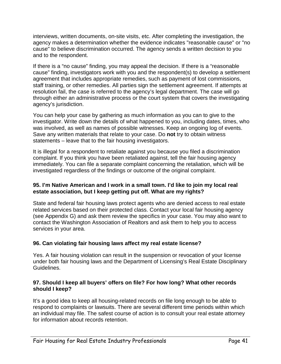interviews, written documents, on-site visits, etc. After completing the investigation, the agency makes a determination whether the evidence indicates "reasonable cause" or "no cause" to believe discrimination occurred. The agency sends a written decision to you and to the respondent.

If there is a "no cause" finding, you may appeal the decision. If there is a "reasonable cause" finding, investigators work with you and the respondent(s) to develop a settlement agreement that includes appropriate remedies, such as payment of lost commissions, staff training, or other remedies. All parties sign the settlement agreement. If attempts at resolution fail, the case is referred to the agency's legal department. The case will go through either an administrative process or the court system that covers the investigating agency's jurisdiction.

You can help your case by gathering as much information as you can to give to the investigator. Write down the details of what happened to you, including dates, times, who was involved, as well as names of possible witnesses. Keep an ongoing log of events. Save any written materials that relate to your case. Do **not** try to obtain witness statements – leave that to the fair housing investigators.

It is illegal for a respondent to retaliate against you because you filed a discrimination complaint. If you think you have been retaliated against, tell the fair housing agency immediately. You can file a separate complaint concerning the retaliation, which will be investigated regardless of the findings or outcome of the original complaint.

### **95. I'm Native American and I work in a small town. I'd like to join my local real estate association, but I keep getting put off. What are my rights?**

State and federal fair housing laws protect agents who are denied access to real estate related services based on their protected class. Contact your local fair housing agency (see Appendix G) and ask them review the specifics in your case. You may also want to contact the Washington Association of Realtors and ask them to help you to access services in your area.

### **96. Can violating fair housing laws affect my real estate license?**

Yes. A fair housing violation can result in the suspension or revocation of your license under both fair housing laws and the Department of Licensing's Real Estate Disciplinary Guidelines.

### **97. Should I keep all buyers' offers on file? For how long? What other records should I keep?**

It's a good idea to keep all housing-related records on file long enough to be able to respond to complaints or lawsuits. There are several different time periods within which an individual may file. The safest course of action is to consult your real estate attorney for information about records retention.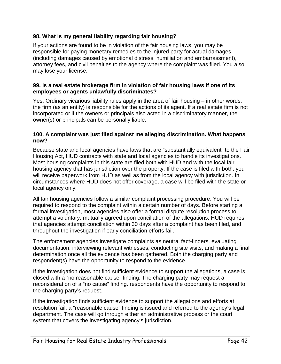### **98. What is my general liability regarding fair housing?**

If your actions are found to be in violation of the fair housing laws, you may be responsible for paying monetary remedies to the injured party for actual damages (including damages caused by emotional distress, humiliation and embarrassment), attorney fees, and civil penalties to the agency where the complaint was filed. You also may lose your license.

### **99. Is a real estate brokerage firm in violation of fair housing laws if one of its employees or agents unlawfully discriminates?**

Yes. Ordinary vicarious liability rules apply in the area of fair housing – in other words, the firm (as an entity) is responsible for the actions of its agent. If a real estate firm is not incorporated or if the owners or principals also acted in a discriminatory manner, the owner(s) or principals can be personally liable.

### **100. A complaint was just filed against me alleging discrimination. What happens now?**

Because state and local agencies have laws that are "substantially equivalent" to the Fair Housing Act, HUD contracts with state and local agencies to handle its investigations. Most housing complaints in this state are filed both with HUD and with the local fair housing agency that has jurisdiction over the property. If the case is filed with both, you will receive paperwork from HUD as well as from the local agency with jurisdiction. In circumstances where HUD does not offer coverage, a case will be filed with the state or local agency only.

All fair housing agencies follow a similar complaint processing procedure. You will be required to respond to the complaint within a certain number of days. Before starting a formal investigation, most agencies also offer a formal dispute resolution process to attempt a voluntary, mutually agreed upon conciliation of the allegations. HUD requires that agencies attempt conciliation within 30 days after a complaint has been filed, and throughout the investigation if early conciliation efforts fail.

The enforcement agencies investigate complaints as neutral fact-finders, evaluating documentation, interviewing relevant witnesses, conducting site visits, and making a final determination once all the evidence has been gathered. Both the charging party and respondent(s) have the opportunity to respond to the evidence.

If the investigation does not find sufficient evidence to support the allegations, a case is closed with a "no reasonable cause" finding. The charging party may request a reconsideration of a "no cause" finding. respondents have the opportunity to respond to the charging party's request.

If the investigation finds sufficient evidence to support the allegations and efforts at resolution fail, a "reasonable cause" finding is issued and referred to the agency's legal department. The case will go through either an administrative process or the court system that covers the investigating agency's jurisdiction.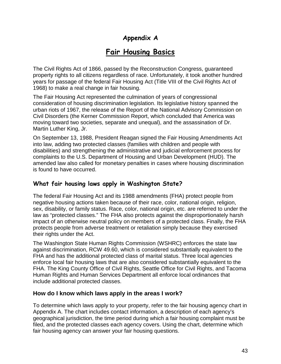### **Appendix A**

### **Fair Housing Basics**

The Civil Rights Act of 1866, passed by the Reconstruction Congress, guaranteed property rights to all citizens regardless of race. Unfortunately, it took another hundred years for passage of the federal Fair Housing Act (Title VIII of the Civil Rights Act of 1968) to make a real change in fair housing.

The Fair Housing Act represented the culmination of years of congressional consideration of housing discrimination legislation. Its legislative history spanned the urban riots of 1967, the release of the Report of the National Advisory Commission on Civil Disorders (the Kerner Commission Report, which concluded that America was moving toward two societies, separate and unequal), and the assassination of Dr. Martin Luther King, Jr.

On September 13, 1988, President Reagan signed the Fair Housing Amendments Act into law, adding two protected classes (families with children and people with disabilities) and strengthening the administrative and judicial enforcement process for complaints to the U.S. Department of Housing and Urban Development (HUD). The amended law also called for monetary penalties in cases where housing discrimination is found to have occurred.

### **What fair housing laws apply in Washington State?**

The federal Fair Housing Act and its 1988 amendments (FHA) protect people from negative housing actions taken because of their race, color, national origin, religion, sex, disability, or family status. Race, color, national origin, etc. are referred to under the law as "protected classes." The FHA also protects against the disproportionately harsh impact of an otherwise neutral policy on members of a protected class. Finally, the FHA protects people from adverse treatment or retaliation simply because they exercised their rights under the Act.

The Washington State Human Rights Commission (WSHRC) enforces the state law against discrimination, RCW 49.60, which is considered substantially equivalent to the FHA and has the additional protected class of marital status. Three local agencies enforce local fair housing laws that are also considered substantially equivalent to the FHA. The King County Office of Civil Rights, Seattle Office for Civil Rights, and Tacoma Human Rights and Human Services Department all enforce local ordinances that include additional protected classes.

### **How do I know which laws apply in the areas I work?**

To determine which laws apply to your property, refer to the fair housing agency chart in Appendix A. The chart includes contact information, a description of each agency's geographical jurisdiction, the time period during which a fair housing complaint must be filed, and the protected classes each agency covers. Using the chart, determine which fair housing agency can answer your fair housing questions.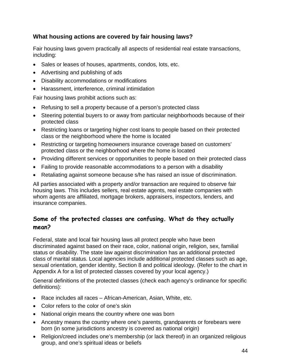### **What housing actions are covered by fair housing laws?**

Fair housing laws govern practically all aspects of residential real estate transactions, including:

- Sales or leases of houses, apartments, condos, lots, etc.
- Advertising and publishing of ads
- Disability accommodations or modifications
- Harassment, interference, criminal intimidation

Fair housing laws prohibit actions such as:

- Refusing to sell a property because of a person's protected class
- Steering potential buyers to or away from particular neighborhoods because of their protected class
- Restricting loans or targeting higher cost loans to people based on their protected class or the neighborhood where the home is located
- Restricting or targeting homeowners insurance coverage based on customers' protected class or the neighborhood where the home is located
- Providing different services or opportunities to people based on their protected class
- Failing to provide reasonable accommodations to a person with a disability
- Retaliating against someone because s/he has raised an issue of discrimination.

All parties associated with a property and/or transaction are required to observe fair housing laws. This includes sellers, real estate agents, real estate companies with whom agents are affiliated, mortgage brokers, appraisers, inspectors, lenders, and insurance companies.

### **Some of the protected classes are confusing. What do they actually mean?**

Federal, state and local fair housing laws all protect people who have been discriminated against based on their race, color, national origin, religion, sex, familial status or disability. The state law against discrimination has an additional protected class of marital status. Local agencies include additional protected classes such as age, sexual orientation, gender identity, Section 8 and political ideology. (Refer to the chart in Appendix A for a list of protected classes covered by your local agency.)

General definitions of the protected classes (check each agency's ordinance for specific definitions):

- Race includes all races African-American, Asian, White, etc.
- Color refers to the color of one's skin
- National origin means the country where one was born
- Ancestry means the country where one's parents, grandparents or forebears were born (in some jurisdictions ancestry is covered as national origin)
- Religion/creed includes one's membership (or lack thereof) in an organized religious group, and one's spiritual ideas or beliefs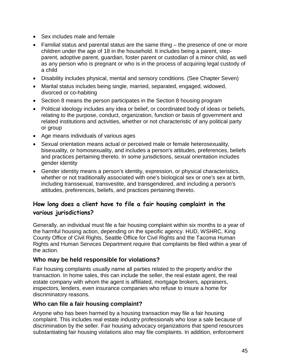- Sex includes male and female
- Familial status and parental status are the same thing the presence of one or more children under the age of 18 in the household. It includes being a parent, stepparent, adoptive parent, guardian, foster parent or custodian of a minor child, as well as any person who is pregnant or who is in the process of acquiring legal custody of a child
- Disability includes physical, mental and sensory conditions. (See Chapter Seven)
- Marital status includes being single, married, separated, engaged, widowed, divorced or co-habiting
- Section 8 means the person participates in the Section 8 housing program
- Political ideology includes any idea or belief, or coordinated body of ideas or beliefs, relating to the purpose, conduct, organization, function or basis of government and related institutions and activities, whether or not characteristic of any political party or group
- Age means individuals of various ages
- Sexual orientation means actual or perceived male or female heterosexuality, bisexuality, or homosexuality, and includes a person's attitudes, preferences, beliefs and practices pertaining thereto. In some jurisdictions, sexual orientation includes gender identity
- Gender identity means a person's identity, expression, or physical characteristics, whether or not traditionally associated with one's biological sex or one's sex at birth, including transsexual, transvestite, and transgendered, and including a person's attitudes, preferences, beliefs, and practices pertaining thereto.

### **How long does a client have to file a fair housing complaint in the various jurisdictions?**

Generally, an individual must file a fair housing complaint within six months to a year of the harmful housing action, depending on the specific agency. HUD, WSHRC, King County Office of Civil Rights, Seattle Office for Civil Rights and the Tacoma Human Rights and Human Services Department require that complaints be filed within a year of the action.

### **Who may be held responsible for violations?**

Fair housing complaints usually name all parties related to the property and/or the transaction. In home sales, this can include the seller, the real estate agent, the real estate company with whom the agent is affiliated, mortgage brokers, appraisers, inspectors, lenders, even insurance companies who refuse to insure a home for discriminatory reasons.

### **Who can file a fair housing complaint?**

Anyone who has been harmed by a housing transaction may file a fair housing complaint. This includes real estate industry professionals who lose a sale because of discrimination by the seller. Fair housing advocacy organizations that spend resources substantiating fair housing violations also may file complaints. In addition, enforcement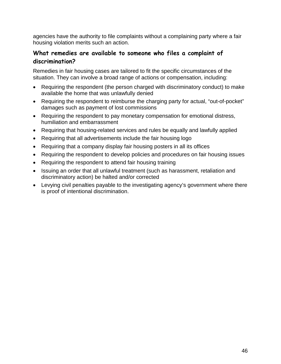agencies have the authority to file complaints without a complaining party where a fair housing violation merits such an action.

### **What remedies are available to someone who files a complaint of discrimination?**

Remedies in fair housing cases are tailored to fit the specific circumstances of the situation. They can involve a broad range of actions or compensation, including:

- Requiring the respondent (the person charged with discriminatory conduct) to make available the home that was unlawfully denied
- Requiring the respondent to reimburse the charging party for actual, "out-of-pocket" damages such as payment of lost commissions
- Requiring the respondent to pay monetary compensation for emotional distress, humiliation and embarrassment
- Requiring that housing-related services and rules be equally and lawfully applied
- Requiring that all advertisements include the fair housing logo
- Requiring that a company display fair housing posters in all its offices
- Requiring the respondent to develop policies and procedures on fair housing issues
- Requiring the respondent to attend fair housing training
- Issuing an order that all unlawful treatment (such as harassment, retaliation and discriminatory action) be halted and/or corrected
- Levying civil penalties payable to the investigating agency's government where there is proof of intentional discrimination.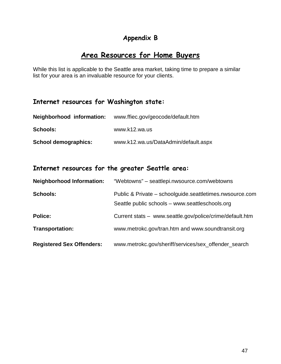### **Appendix B**

### **Area Resources for Home Buyers**

While this list is applicable to the Seattle area market, taking time to prepare a similar list for your area is an invaluable resource for your clients.

### **Internet resources for Washington state:**

| Neighborhood information: | www.ffiec.gov/geocode/default.htm    |
|---------------------------|--------------------------------------|
| <b>Schools:</b>           | www.k12.wa.us                        |
| School demographics:      | www.k12.wa.us/DataAdmin/default.aspx |

### **Internet resources for the greater Seattle area:**

| <b>Neighborhood Information:</b> | "Webtowns" - seattlepi.nwsource.com/webtowns                                                                |
|----------------------------------|-------------------------------------------------------------------------------------------------------------|
| <b>Schools:</b>                  | Public & Private – schoolguide.seattletimes.nwsource.com<br>Seattle public schools - www.seattleschools.org |
| <b>Police:</b>                   | Current stats - www.seattle.gov/police/crime/default.htm                                                    |
| <b>Transportation:</b>           | www.metrokc.gov/tran.htm and www.soundtransit.org                                                           |
| <b>Registered Sex Offenders:</b> | www.metrokc.gov/sheriff/services/sex_offender_search                                                        |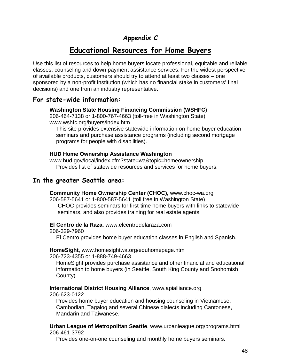### **Appendix C**

### **Educational Resources for Home Buyers**

Use this list of resources to help home buyers locate professional, equitable and reliable classes, counseling and down payment assistance services. For the widest perspective of available products, customers should try to attend at least two classes – one sponsored by a non-profit institution (which has no financial stake in customers' final decisions) and one from an industry representative.

### **For state-wide information:**

### **Washington State Housing Financing Commission (WSHFC**)

206-464-7138 or 1-800-767-4663 (toll-free in Washington State) www.wshfc.org/buyers/index.htm

This site provides extensive statewide information on home buyer education seminars and purchase assistance programs (including second mortgage programs for people with disabilities).

### **HUD Home Ownership Assistance Washington**

www.hud.gov/local/index.cfm?state=wa&topic=homeownership Provides list of statewide resources and services for home buyers.

### **In the greater Seattle area:**

**Community Home Ownership Center (CHOC),** www.choc-wa.org

206-587-5641 or 1-800-587-5641 (toll free in Washington State) CHOC provides seminars for first-time home buyers with links to statewide seminars, and also provides training for real estate agents.

### **El Centro de la Raza**, www.elcentrodelaraza.com

206-329-7960

El Centro provides home buyer education classes in English and Spanish.

### **HomeSight**, www.homesightwa.org/eduhomepage.htm

206-723-4355 or 1-888-749-4663

HomeSight provides purchase assistance and other financial and educational information to home buyers (in Seattle, South King County and Snohomish County).

### **International District Housing Alliance**, www.apialliance.org

206-623-0122

Provides home buyer education and housing counseling in Vietnamese, Cambodian, Tagalog and several Chinese dialects including Cantonese, Mandarin and Taiwanese.

**Urban League of Metropolitan Seattle**, www.urbanleague.org/programs.html 206-461-3792

Provides one-on-one counseling and monthly home buyers seminars.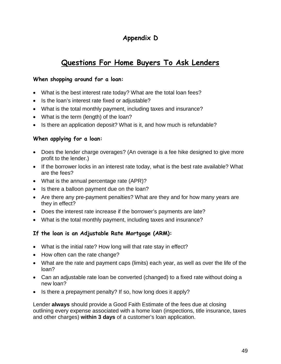### **Appendix D**

## **Questions For Home Buyers To Ask Lenders**

### **When shopping around for a loan:**

- What is the best interest rate today? What are the total loan fees?
- Is the loan's interest rate fixed or adjustable?
- What is the total monthly payment, including taxes and insurance?
- What is the term (length) of the loan?
- Is there an application deposit? What is it, and how much is refundable?

### **When applying for a loan:**

- Does the lender charge overages? (An overage is a fee hike designed to give more profit to the lender.)
- If the borrower locks in an interest rate today, what is the best rate available? What are the fees?
- What is the annual percentage rate (APR)?
- Is there a balloon payment due on the loan?
- Are there any pre-payment penalties? What are they and for how many years are they in effect?
- Does the interest rate increase if the borrower's payments are late?
- What is the total monthly payment, including taxes and insurance?

### **If the loan is an Adjustable Rate Mortgage (ARM):**

- What is the initial rate? How long will that rate stay in effect?
- How often can the rate change?
- What are the rate and payment caps (limits) each year, as well as over the life of the loan?
- Can an adjustable rate loan be converted (changed) to a fixed rate without doing a new loan?
- Is there a prepayment penalty? If so, how long does it apply?

Lender **always** should provide a Good Faith Estimate of the fees due at closing outlining every expense associated with a home loan (inspections, title insurance, taxes and other charges) **within 3 days** of a customer's loan application.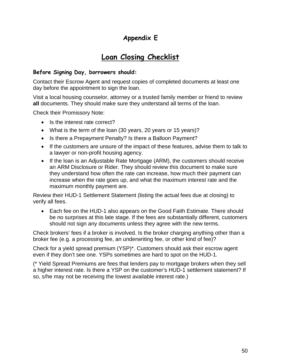### **Appendix E**

## **Loan Closing Checklist**

### **Before Signing Day, borrowers should:**

Contact their Escrow Agent and request copies of completed documents at least one day before the appointment to sign the loan.

Visit a local housing counselor, attorney or a trusted family member or friend to review **all** documents. They should make sure they understand all terms of the loan.

Check their Promissory Note:

- Is the interest rate correct?
- What is the term of the loan (30 years, 20 years or 15 years)?
- Is there a Prepayment Penalty? Is there a Balloon Payment?
- If the customers are unsure of the impact of these features, advise them to talk to a lawyer or non-profit housing agency.
- If the loan is an Adjustable Rate Mortgage (ARM), the customers should receive an ARM Disclosure or Rider. They should review this document to make sure they understand how often the rate can increase, how much their payment can increase when the rate goes up, and what the maximum interest rate and the maximum monthly payment are.

Review their HUD-1 Settlement Statement (listing the actual fees due at closing) to verify all fees.

• Each fee on the HUD-1 also appears on the Good Faith Estimate. There should be no surprises at this late stage. If the fees are substantially different, customers should not sign any documents unless they agree with the new terms.

Check brokers' fees if a broker is involved. Is the broker charging anything other than a broker fee (e.g. a processing fee, an underwriting fee, or other kind of fee)?

Check for a yield spread premium (YSP)\*. Customers should ask their escrow agent even if they don't see one. YSPs sometimes are hard to spot on the HUD-1.

(\* Yield Spread Premiums are fees that lenders pay to mortgage brokers when they sell a higher interest rate. Is there a YSP on the customer's HUD-1 settlement statement? If so, s/he may not be receiving the lowest available interest rate.)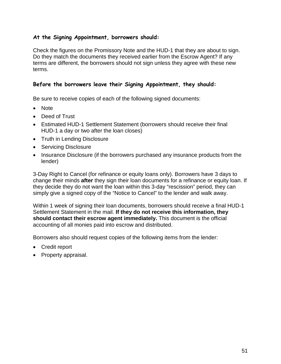### **At the Signing Appointment, borrowers should:**

Check the figures on the Promissory Note and the HUD-1 that they are about to sign. Do they match the documents they received earlier from the Escrow Agent? If any terms are different, the borrowers should not sign unless they agree with these new terms.

### **Before the borrowers leave their Signing Appointment, they should:**

Be sure to receive copies of each of the following signed documents:

- Note
- Deed of Trust
- Estimated HUD-1 Settlement Statement (borrowers should receive their final HUD-1 a day or two after the loan closes)
- Truth in Lending Disclosure
- Servicing Disclosure
- Insurance Disclosure (if the borrowers purchased any insurance products from the lender)

3-Day Right to Cancel (for refinance or equity loans only). Borrowers have 3 days to change their minds **after** they sign their loan documents for a refinance or equity loan. If they decide they do not want the loan within this 3-day "rescission" period, they can simply give a signed copy of the "Notice to Cancel" to the lender and walk away.

Within 1 week of signing their loan documents, borrowers should receive a final HUD-1 Settlement Statement in the mail. **If they do not receive this information, they should contact their escrow agent immediately.** This document is the official accounting of all monies paid into escrow and distributed.

Borrowers also should request copies of the following items from the lender:

- Credit report
- Property appraisal.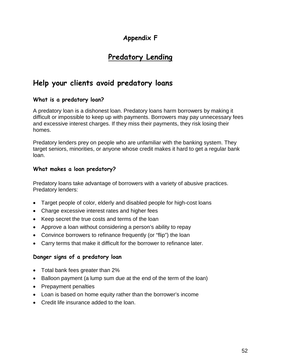### **Appendix F**

### **Predatory Lending**

### **Help your clients avoid predatory loans**

### **What is a predatory loan?**

A predatory loan is a dishonest loan. Predatory loans harm borrowers by making it difficult or impossible to keep up with payments. Borrowers may pay unnecessary fees and excessive interest charges. If they miss their payments, they risk losing their homes.

Predatory lenders prey on people who are unfamiliar with the banking system. They target seniors, minorities, or anyone whose credit makes it hard to get a regular bank loan.

### **What makes a loan predatory?**

Predatory loans take advantage of borrowers with a variety of abusive practices. Predatory lenders:

- Target people of color, elderly and disabled people for high-cost loans
- Charge excessive interest rates and higher fees
- Keep secret the true costs and terms of the loan
- Approve a loan without considering a person's ability to repay
- Convince borrowers to refinance frequently (or "flip") the loan
- Carry terms that make it difficult for the borrower to refinance later.

### **Danger signs of a predatory loan**

- Total bank fees greater than 2%
- Balloon payment (a lump sum due at the end of the term of the loan)
- Prepayment penalties
- Loan is based on home equity rather than the borrower's income
- Credit life insurance added to the loan.